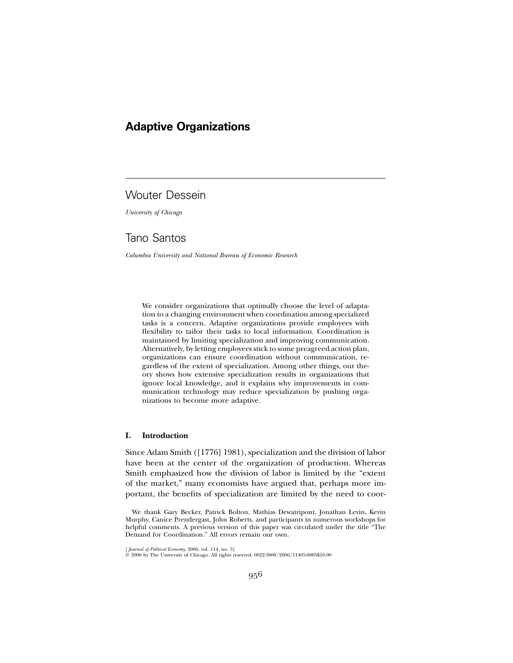# **Adaptive Organizations**

# Wouter Dessein

*University of Chicago*

# Tano Santos

*Columbia University and National Bureau of Economic Research*

We consider organizations that optimally choose the level of adaptation to a changing environment when coordination among specialized tasks is a concern. Adaptive organizations provide employees with flexibility to tailor their tasks to local information. Coordination is maintained by limiting specialization and improving communication. Alternatively, by letting employees stick to some preagreed action plan, organizations can ensure coordination without communication, regardless of the extent of specialization. Among other things, our theory shows how extensive specialization results in organizations that ignore local knowledge, and it explains why improvements in communication technology may reduce specialization by pushing organizations to become more adaptive.

# **I. Introduction**

Since Adam Smith ([1776] 1981), specialization and the division of labor have been at the center of the organization of production. Whereas Smith emphasized how the division of labor is limited by the "extent of the market," many economists have argued that, perhaps more important, the benefits of specialization are limited by the need to coor-

We thank Gary Becker, Patrick Bolton, Mathias Dewatripont, Jonathan Levin, Kevin Murphy, Canice Prendergast, John Roberts, and participants in numerous workshops for helpful comments. A previous version of this paper was circulated under the title "The Demand for Coordination." All errors remain our own.

<sup>[</sup>*Journal of Political Econom*y, 2006, vol. 114, no. 5]<br>© 2006 by The University of Chicago. All rights reserved. 0022-3808/2006/11405-0005\$10.00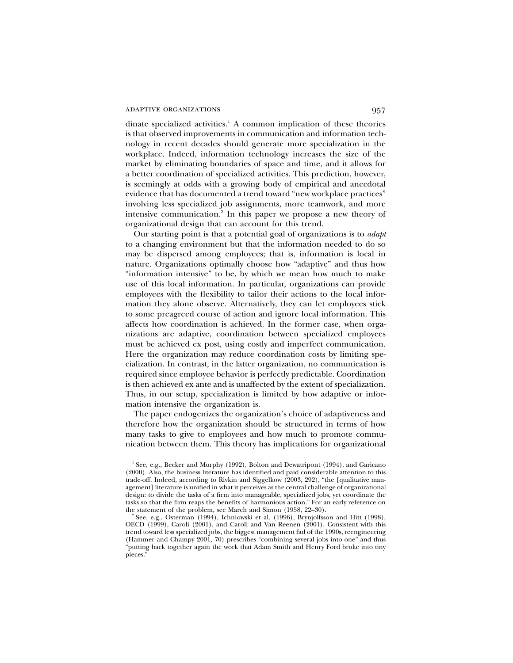dinate specialized activities.<sup>1</sup> A common implication of these theories is that observed improvements in communication and information technology in recent decades should generate more specialization in the workplace. Indeed, information technology increases the size of the market by eliminating boundaries of space and time, and it allows for a better coordination of specialized activities. This prediction, however, is seemingly at odds with a growing body of empirical and anecdotal evidence that has documented a trend toward "new workplace practices" involving less specialized job assignments, more teamwork, and more intensive communication.<sup>2</sup> In this paper we propose a new theory of organizational design that can account for this trend.

Our starting point is that a potential goal of organizations is to *adapt* to a changing environment but that the information needed to do so may be dispersed among employees; that is, information is local in nature. Organizations optimally choose how "adaptive" and thus how "information intensive" to be, by which we mean how much to make use of this local information. In particular, organizations can provide employees with the flexibility to tailor their actions to the local information they alone observe. Alternatively, they can let employees stick to some preagreed course of action and ignore local information. This affects how coordination is achieved. In the former case, when organizations are adaptive, coordination between specialized employees must be achieved ex post, using costly and imperfect communication. Here the organization may reduce coordination costs by limiting specialization. In contrast, in the latter organization, no communication is required since employee behavior is perfectly predictable. Coordination is then achieved ex ante and is unaffected by the extent of specialization. Thus, in our setup, specialization is limited by how adaptive or information intensive the organization is.

The paper endogenizes the organization's choice of adaptiveness and therefore how the organization should be structured in terms of how many tasks to give to employees and how much to promote communication between them. This theory has implications for organizational

<sup>&</sup>lt;sup>1</sup> See, e.g., Becker and Murphy (1992), Bolton and Dewatripont (1994), and Garicano (2000). Also, the business literature has identified and paid considerable attention to this trade-off. Indeed, according to Rivkin and Siggelkow (2003, 292), "the [qualitative management] literature is unified in what it perceives as the central challenge of organizational design: to divide the tasks of a firm into manageable, specialized jobs, yet coordinate the tasks so that the firm reaps the benefits of harmonious action." For an early reference on the statement of the problem, see March and Simon (1958, 22–30).

<sup>2</sup> See, e.g., Osterman (1994), Ichniowski et al. (1996), Brynjolfsson and Hitt (1998), OECD (1999), Caroli (2001), and Caroli and Van Reenen (2001). Consistent with this trend toward less specialized jobs, the biggest management fad of the 1990s, reengineering (Hammer and Champy 2001, 70) prescribes "combining several jobs into one" and thus "putting back together again the work that Adam Smith and Henry Ford broke into tiny pieces."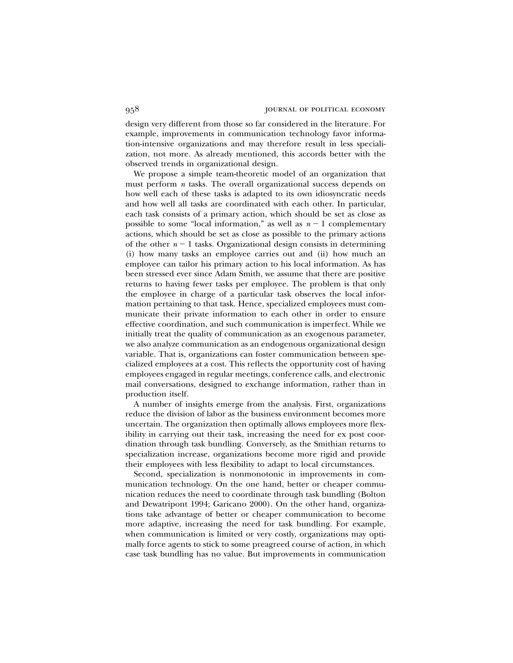design very different from those so far considered in the literature. For example, improvements in communication technology favor information-intensive organizations and may therefore result in less specialization, not more. As already mentioned, this accords better with the observed trends in organizational design.

We propose a simple team-theoretic model of an organization that must perform *n* tasks. The overall organizational success depends on how well each of these tasks is adapted to its own idiosyncratic needs and how well all tasks are coordinated with each other. In particular, each task consists of a primary action, which should be set as close as possible to some "local information," as well as  $n-1$  complementary actions, which should be set as close as possible to the primary actions of the other  $n-1$  tasks. Organizational design consists in determining (i) how many tasks an employee carries out and (ii) how much an employee can tailor his primary action to his local information. As has been stressed ever since Adam Smith, we assume that there are positive returns to having fewer tasks per employee. The problem is that only the employee in charge of a particular task observes the local information pertaining to that task. Hence, specialized employees must communicate their private information to each other in order to ensure effective coordination, and such communication is imperfect. While we initially treat the quality of communication as an exogenous parameter, we also analyze communication as an endogenous organizational design variable. That is, organizations can foster communication between specialized employees at a cost. This reflects the opportunity cost of having employees engaged in regular meetings, conference calls, and electronic mail conversations, designed to exchange information, rather than in production itself.

A number of insights emerge from the analysis. First, organizations reduce the division of labor as the business environment becomes more uncertain. The organization then optimally allows employees more flexibility in carrying out their task, increasing the need for ex post coordination through task bundling. Conversely, as the Smithian returns to specialization increase, organizations become more rigid and provide their employees with less flexibility to adapt to local circumstances.

Second, specialization is nonmonotonic in improvements in communication technology. On the one hand, better or cheaper communication reduces the need to coordinate through task bundling (Bolton and Dewatripont 1994; Garicano 2000). On the other hand, organizations take advantage of better or cheaper communication to become more adaptive, increasing the need for task bundling. For example, when communication is limited or very costly, organizations may optimally force agents to stick to some preagreed course of action, in which case task bundling has no value. But improvements in communication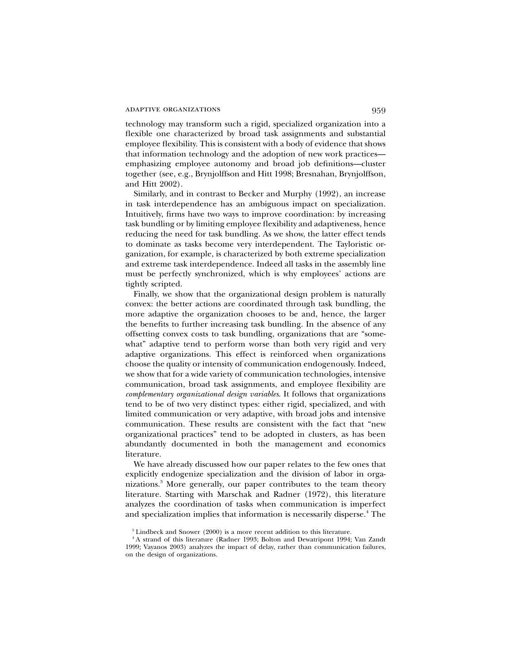technology may transform such a rigid, specialized organization into a flexible one characterized by broad task assignments and substantial employee flexibility. This is consistent with a body of evidence that shows that information technology and the adoption of new work practices emphasizing employee autonomy and broad job definitions—cluster together (see, e.g., Brynjolffson and Hitt 1998; Bresnahan, Brynjolffson, and Hitt 2002).

Similarly, and in contrast to Becker and Murphy (1992), an increase in task interdependence has an ambiguous impact on specialization. Intuitively, firms have two ways to improve coordination: by increasing task bundling or by limiting employee flexibility and adaptiveness, hence reducing the need for task bundling. As we show, the latter effect tends to dominate as tasks become very interdependent. The Tayloristic organization, for example, is characterized by both extreme specialization and extreme task interdependence. Indeed all tasks in the assembly line must be perfectly synchronized, which is why employees' actions are tightly scripted.

Finally, we show that the organizational design problem is naturally convex: the better actions are coordinated through task bundling, the more adaptive the organization chooses to be and, hence, the larger the benefits to further increasing task bundling. In the absence of any offsetting convex costs to task bundling, organizations that are "somewhat" adaptive tend to perform worse than both very rigid and very adaptive organizations. This effect is reinforced when organizations choose the quality or intensity of communication endogenously. Indeed, we show that for a wide variety of communication technologies, intensive communication, broad task assignments, and employee flexibility are *complementary organizational design variables*. It follows that organizations tend to be of two very distinct types: either rigid, specialized, and with limited communication or very adaptive, with broad jobs and intensive communication. These results are consistent with the fact that "new organizational practices" tend to be adopted in clusters, as has been abundantly documented in both the management and economics literature.

We have already discussed how our paper relates to the few ones that explicitly endogenize specialization and the division of labor in organizations.<sup>3</sup> More generally, our paper contributes to the team theory literature. Starting with Marschak and Radner (1972), this literature analyzes the coordination of tasks when communication is imperfect and specialization implies that information is necessarily disperse.<sup>4</sup> The

<sup>3</sup> Lindbeck and Snower (2000) is a more recent addition to this literature.

<sup>4</sup> A strand of this literature (Radner 1993; Bolton and Dewatripont 1994; Van Zandt 1999; Vayanos 2003) analyzes the impact of delay, rather than communication failures, on the design of organizations.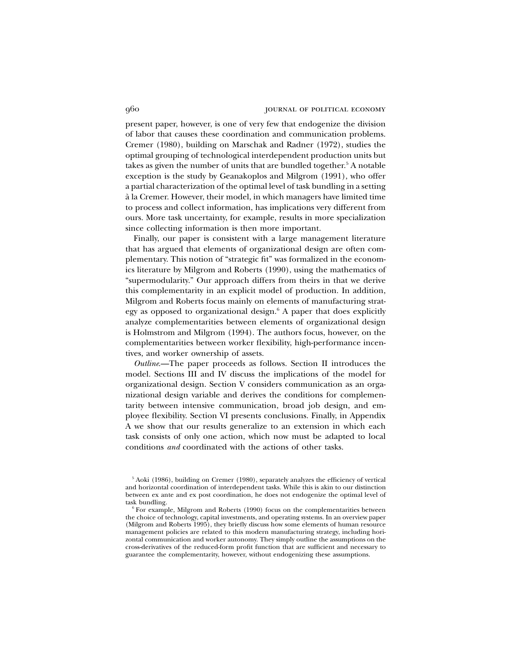present paper, however, is one of very few that endogenize the division of labor that causes these coordination and communication problems. Cremer (1980), building on Marschak and Radner (1972), studies the optimal grouping of technological interdependent production units but takes as given the number of units that are bundled together.<sup>5</sup> A notable exception is the study by Geanakoplos and Milgrom (1991), who offer a partial characterization of the optimal level of task bundling in a setting a` la Cremer. However, their model, in which managers have limited time to process and collect information, has implications very different from ours. More task uncertainty, for example, results in more specialization since collecting information is then more important.

Finally, our paper is consistent with a large management literature that has argued that elements of organizational design are often complementary. This notion of "strategic fit" was formalized in the economics literature by Milgrom and Roberts (1990), using the mathematics of "supermodularity." Our approach differs from theirs in that we derive this complementarity in an explicit model of production. In addition, Milgrom and Roberts focus mainly on elements of manufacturing strategy as opposed to organizational design. $6$  A paper that does explicitly analyze complementarities between elements of organizational design is Holmstrom and Milgrom (1994). The authors focus, however, on the complementarities between worker flexibility, high-performance incentives, and worker ownership of assets.

*Outline*.—The paper proceeds as follows. Section II introduces the model. Sections III and IV discuss the implications of the model for organizational design. Section V considers communication as an organizational design variable and derives the conditions for complementarity between intensive communication, broad job design, and employee flexibility. Section VI presents conclusions. Finally, in Appendix A we show that our results generalize to an extension in which each task consists of only one action, which now must be adapted to local conditions *and* coordinated with the actions of other tasks.

<sup>&</sup>lt;sup>5</sup> Aoki (1986), building on Cremer (1980), separately analyzes the efficiency of vertical and horizontal coordination of interdependent tasks. While this is akin to our distinction between ex ante and ex post coordination, he does not endogenize the optimal level of task bundling.

 $6$  For example, Milgrom and Roberts (1990) focus on the complementarities between the choice of technology, capital investments, and operating systems. In an overview paper (Milgrom and Roberts 1995), they briefly discuss how some elements of human resource management policies are related to this modern manufacturing strategy, including horizontal communication and worker autonomy. They simply outline the assumptions on the cross-derivatives of the reduced-form profit function that are sufficient and necessary to guarantee the complementarity, however, without endogenizing these assumptions.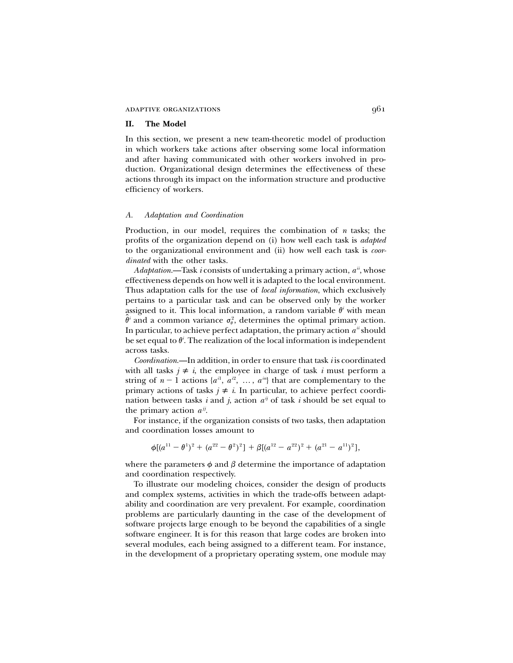# **II. The Model**

In this section, we present a new team-theoretic model of production in which workers take actions after observing some local information and after having communicated with other workers involved in production. Organizational design determines the effectiveness of these actions through its impact on the information structure and productive efficiency of workers.

#### *A. Adaptation and Coordination*

Production, in our model, requires the combination of *n* tasks; the profits of the organization depend on (i) how well each task is *adapted* to the organizational environment and (ii) how well each task is *coordinated* with the other tasks.

*Adaptation*.—Task *i* consists of undertaking a primary action,  $a^{ii}$ , whose effectiveness depends on how well it is adapted to the local environment. Thus adaptation calls for the use of *local information*, which exclusively pertains to a particular task and can be observed only by the worker assigned to it. This local information, a random variable  $\theta^i$  with mean  $\theta^i$  and a common variance  $\sigma_\theta^2$ , determines the optimal primary action. In particular, to achieve perfect adaptation, the primary action  $a^i$  should be set equal to  $\theta^i$ . The realization of the local information is independent across tasks.

*Coordination*.—In addition, in order to ensure that task *i* is coordinated with all tasks  $j \neq i$ , the employee in charge of task *i* must perform a string of  $n-1$  actions  $\{a^{i1}, a^{i2}, \ldots, a^{in}\}$  that are complementary to the primary actions of tasks  $j \neq i$ . In particular, to achieve perfect coordination between tasks *i* and *j*, action  $a^{ij}$  of task *i* should be set equal to the primary action  $a^{jj}$ .

For instance, if the organization consists of two tasks, then adaptation and coordination losses amount to

$$
\phi[(a^{11}-\theta^1)^2 + (a^{22}-\theta^2)^2] + \beta[(a^{12}-a^{22})^2 + (a^{21}-a^{11})^2],
$$

where the parameters  $\phi$  and  $\beta$  determine the importance of adaptation and coordination respectively.

To illustrate our modeling choices, consider the design of products and complex systems, activities in which the trade-offs between adaptability and coordination are very prevalent. For example, coordination problems are particularly daunting in the case of the development of software projects large enough to be beyond the capabilities of a single software engineer. It is for this reason that large codes are broken into several modules, each being assigned to a different team. For instance, in the development of a proprietary operating system, one module may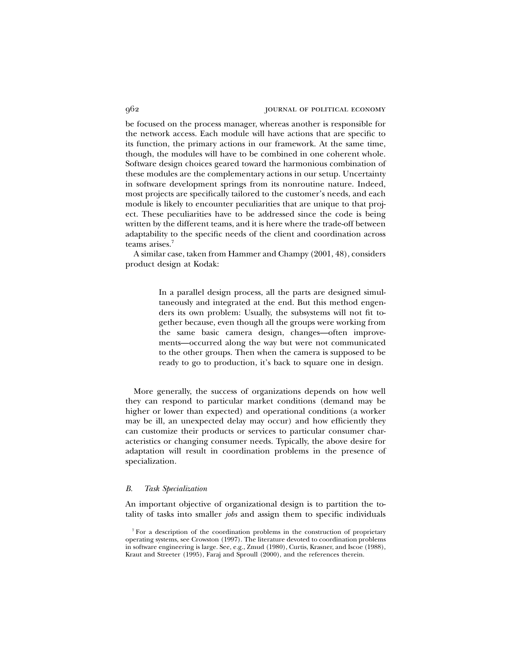be focused on the process manager, whereas another is responsible for the network access. Each module will have actions that are specific to its function, the primary actions in our framework. At the same time, though, the modules will have to be combined in one coherent whole. Software design choices geared toward the harmonious combination of these modules are the complementary actions in our setup. Uncertainty in software development springs from its nonroutine nature. Indeed, most projects are specifically tailored to the customer's needs, and each module is likely to encounter peculiarities that are unique to that project. These peculiarities have to be addressed since the code is being written by the different teams, and it is here where the trade-off between adaptability to the specific needs of the client and coordination across teams arises.<sup>7</sup>

A similar case, taken from Hammer and Champy (2001, 48), considers product design at Kodak:

> In a parallel design process, all the parts are designed simultaneously and integrated at the end. But this method engenders its own problem: Usually, the subsystems will not fit together because, even though all the groups were working from the same basic camera design, changes—often improvements—occurred along the way but were not communicated to the other groups. Then when the camera is supposed to be ready to go to production, it's back to square one in design.

More generally, the success of organizations depends on how well they can respond to particular market conditions (demand may be higher or lower than expected) and operational conditions (a worker may be ill, an unexpected delay may occur) and how efficiently they can customize their products or services to particular consumer characteristics or changing consumer needs. Typically, the above desire for adaptation will result in coordination problems in the presence of specialization.

#### *B. Task Specialization*

An important objective of organizational design is to partition the totality of tasks into smaller *jobs* and assign them to specific individuals

<sup>7</sup> For a description of the coordination problems in the construction of proprietary operating systems, see Crowston (1997). The literature devoted to coordination problems in software engineering is large. See, e.g., Zmud (1980), Curtis, Krasner, and Iscoe (1988), Kraut and Streeter (1995), Faraj and Sproull (2000), and the references therein.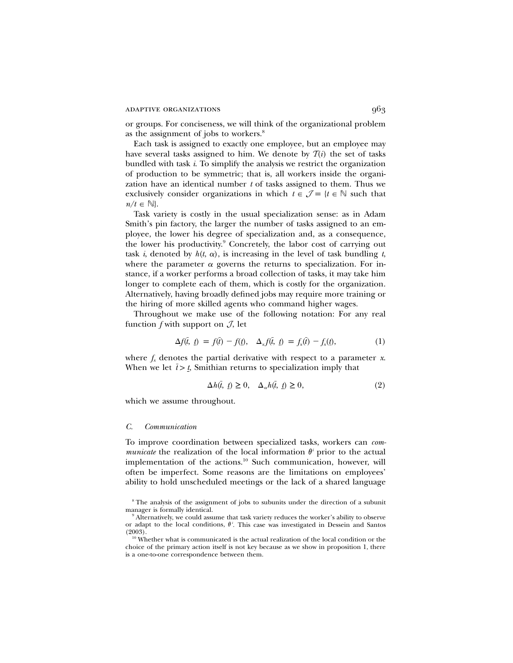or groups. For conciseness, we will think of the organizational problem as the assignment of jobs to workers.<sup>8</sup>

Each task is assigned to exactly one employee, but an employee may have several tasks assigned to him. We denote by  $T(i)$  the set of tasks bundled with task *i*. To simplify the analysis we restrict the organization of production to be symmetric; that is, all workers inside the organization have an identical number *t* of tasks assigned to them. Thus we exclusively consider organizations in which  $t \in \mathcal{J} = \{t \in \mathbb{N} \text{ such that }$  $n/t \in \mathbb{N}$ .

Task variety is costly in the usual specialization sense: as in Adam Smith's pin factory, the larger the number of tasks assigned to an employee, the lower his degree of specialization and, as a consequence, the lower his productivity.<sup>9</sup> Concretely, the labor cost of carrying out task *i*, denoted by  $h(t, \alpha)$ , is increasing in the level of task bundling *t*, where the parameter  $\alpha$  governs the returns to specialization. For instance, if a worker performs a broad collection of tasks, it may take him longer to complete each of them, which is costly for the organization. Alternatively, having broadly defined jobs may require more training or the hiring of more skilled agents who command higher wages.

Throughout we make use of the following notation: For any real function  $f$  with support on  $\mathcal{J}$ , let

$$
\Delta f(\bar{t}, t) = f(\bar{t}) - f(t), \quad \Delta_x f(\bar{t}, t) = f_x(\bar{t}) - f_x(t), \tag{1}
$$

where  $f_x$  denotes the partial derivative with respect to a parameter  $x$ . When we let  $\bar{t} > t$ , Smithian returns to specialization imply that

$$
\Delta h(\bar{t}, \underline{t}) \ge 0, \quad \Delta_{\alpha} h(\bar{t}, \underline{t}) \ge 0,
$$
\n<sup>(2)</sup>

which we assume throughout.

#### *C. Communication*

To improve coordination between specialized tasks, workers can *communicate* the realization of the local information  $\theta^i$  prior to the actual implementation of the actions.<sup>10</sup> Such communication, however, will often be imperfect. Some reasons are the limitations on employees' ability to hold unscheduled meetings or the lack of a shared language

<sup>&</sup>lt;sup>8</sup> The analysis of the assignment of jobs to subunits under the direction of a subunit manager is formally identical.

<sup>9</sup> Alternatively, we could assume that task variety reduces the worker's ability to observe or adapt to the local conditions,  $\theta$ <sup>*i*</sup>. This case was investigated in Dessein and Santos (2003).

<sup>&</sup>lt;sup>10</sup> Whether what is communicated is the actual realization of the local condition or the choice of the primary action itself is not key because as we show in proposition 1, there is a one-to-one correspondence between them.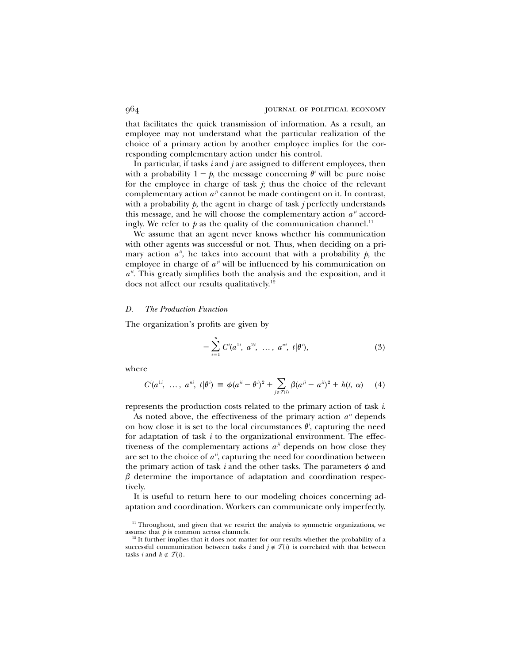that facilitates the quick transmission of information. As a result, an employee may not understand what the particular realization of the choice of a primary action by another employee implies for the corresponding complementary action under his control.

In particular, if tasks *i* and *j* are assigned to different employees, then with a probability  $1 - p$ , the message concerning  $\theta^i$  will be pure noise for the employee in charge of task *j*; thus the choice of the relevant complementary action  $a^{ji}$  cannot be made contingent on it. In contrast, with a probability *p*, the agent in charge of task *j* perfectly understands this message, and he will choose the complementary action  $a^{ji}$  accordingly. We refer to  $p$  as the quality of the communication channel.<sup>11</sup>

We assume that an agent never knows whether his communication with other agents was successful or not. Thus, when deciding on a primary action  $a^{ii}$ , he takes into account that with a probability  $\dot{p}$ , the employee in charge of  $a^{ji}$  will be influenced by his communication on . This greatly simplifies both the analysis and the exposition, and it *ii a* does not affect our results qualitatively.<sup>12</sup>

# *D. The Production Function*

The organization's profits are given by

$$
-\sum_{i=1}^{n} C^{i}(a^{1i}, a^{2i}, \ldots, a^{ni}, t | \theta^{i}), \qquad (3)
$$

where

$$
C^{i}(a^{1i}, \ldots, a^{ni}, t | \theta^{i}) \equiv \phi(a^{ii} - \theta^{i})^{2} + \sum_{j \notin \mathcal{T}(i)} \beta(a^{ji} - a^{ii})^{2} + h(t, \alpha) \tag{4}
$$

represents the production costs related to the primary action of task *i*.

As noted above, the effectiveness of the primary action  $a^i$  depends on how close it is set to the local circumstances  $\theta^i$ , capturing the need for adaptation of task *i* to the organizational environment. The effectiveness of the complementary actions  $a^{ji}$  depends on how close they are set to the choice of  $a^{\mu}$ , capturing the need for coordination between the primary action of task  $i$  and the other tasks. The parameters  $\phi$  and  $\beta$  determine the importance of adaptation and coordination respectively.

It is useful to return here to our modeling choices concerning adaptation and coordination. Workers can communicate only imperfectly.

<sup>&</sup>lt;sup>11</sup> Throughout, and given that we restrict the analysis to symmetric organizations, we assume that *p* is common across channels.

 $12$  It further implies that it does not matter for our results whether the probability of a successful communication between tasks *i* and  $j \notin \mathcal{T}(i)$  is correlated with that between tasks *i* and  $k \notin \mathcal{T}(i)$ .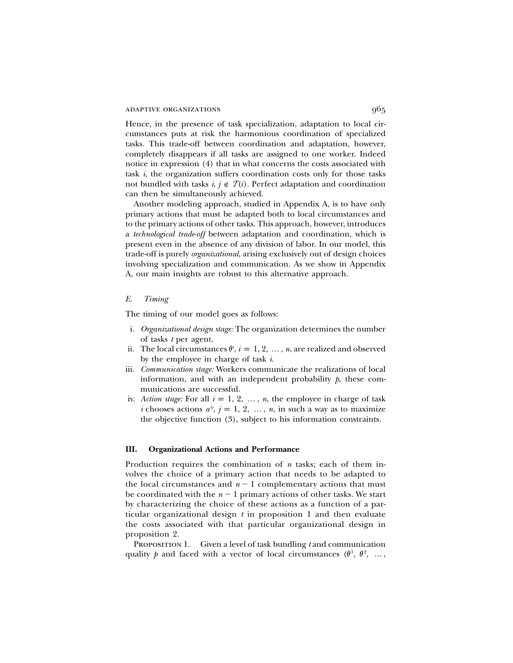Hence, in the presence of task specialization, adaptation to local circumstances puts at risk the harmonious coordination of specialized tasks. This trade-off between coordination and adaptation, however, completely disappears if all tasks are assigned to one worker. Indeed notice in expression (4) that in what concerns the costs associated with task *i*, the organization suffers coordination costs only for those tasks not bundled with tasks  $i, j \notin \mathcal{T}(i)$ . Perfect adaptation and coordination can then be simultaneously achieved.

Another modeling approach, studied in Appendix A, is to have only primary actions that must be adapted both to local circumstances and to the primary actions of other tasks. This approach, however, introduces a *technological trade-off* between adaptation and coordination, which is present even in the absence of any division of labor. In our model, this trade-off is purely *organizational*, arising exclusively out of design choices involving specialization and communication. As we show in Appendix A, our main insights are robust to this alternative approach.

## *E. Timing*

The timing of our model goes as follows:

- i. *Organizational design stage:* The organization determines the number of tasks *t* per agent.
- ii. The local circumstances  $\theta^i$ ,  $i = 1, 2, ..., n$ , are realized and observed by the employee in charge of task *i*.
- iii. *Communication stage:* Workers communicate the realizations of local information, and with an independent probability *p*, these communications are successful.
- iv. *Action stage:* For all  $i = 1, 2, ..., n$ , the employee in charge of task *i* chooses actions  $a^{ij}$ ,  $j = 1, 2, ..., n$ , in such a way as to maximize the objective function (3), subject to his information constraints.

#### **III. Organizational Actions and Performance**

Production requires the combination of *n* tasks; each of them involves the choice of a primary action that needs to be adapted to the local circumstances and  $n-1$  complementary actions that must be coordinated with the  $n-1$  primary actions of other tasks. We start by characterizing the choice of these actions as a function of a particular organizational design *t* in proposition 1 and then evaluate the costs associated with that particular organizational design in proposition 2.

PROPOSITION 1. Given a level of task bundling *t* and communication quality *p* and faced with a vector of local circumstances  $(\theta^1, \theta^2, \ldots, \theta^n)$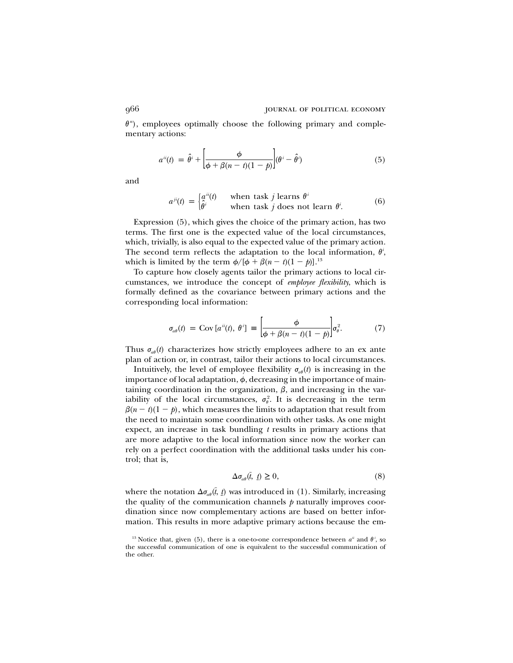$\theta$ <sup>n</sup>), employees optimally choose the following primary and complementary actions:

$$
a^{ii}(t) = \hat{\theta}^i + \left[\frac{\phi}{\phi + \beta(n-t)(1-\rho)}\right](\theta^i - \hat{\theta}^i)
$$
\n(5)

and

$$
a^{ji}(t) = \begin{cases} a^{ii}(t) & \text{when task } j \text{ learns } \theta^i \\ \hat{\theta}^i & \text{when task } j \text{ does not learn } \theta^i. \end{cases}
$$
 (6)

Expression (5), which gives the choice of the primary action, has two terms. The first one is the expected value of the local circumstances, which, trivially, is also equal to the expected value of the primary action. The second term reflects the adaptation to the local information,  $\theta$ <sup>*i*</sup>, which is limited by the term  $\phi/[\phi + \beta(n - t)(1 - p)]^{13}$ 

To capture how closely agents tailor the primary actions to local circumstances, we introduce the concept of *employee flexibility*, which is formally defined as the covariance between primary actions and the corresponding local information:

$$
\sigma_{a\theta}(t) = \text{Cov}\left[a^{ii}(t), \theta^i\right] \equiv \left[\frac{\phi}{\phi + \beta(n-t)(1-\rho)}\right] \sigma_{\theta}^2. \tag{7}
$$

Thus  $\sigma_{a\theta}(t)$  characterizes how strictly employees adhere to an ex ante plan of action or, in contrast, tailor their actions to local circumstances.

Intuitively, the level of employee flexibility  $\sigma_{\alpha\beta}(t)$  is increasing in the importance of local adaptation,  $\phi$ , decreasing in the importance of maintaining coordination in the organization,  $\beta$ , and increasing in the variability of the local circumstances,  $\sigma_{\theta}^2$ . It is decreasing in the term  $\beta(n - t)(1 - p)$ , which measures the limits to adaptation that result from the need to maintain some coordination with other tasks. As one might expect, an increase in task bundling *t* results in primary actions that are more adaptive to the local information since now the worker can rely on a perfect coordination with the additional tasks under his control; that is,

$$
\Delta \sigma_{a\theta}(\bar{t}, \underline{t}) \ge 0,\tag{8}
$$

where the notation  $\Delta \sigma_{\alpha\theta}(\bar{t}, \underline{t})$  was introduced in (1). Similarly, increasing the quality of the communication channels *p* naturally improves coordination since now complementary actions are based on better information. This results in more adaptive primary actions because the em-

<sup>&</sup>lt;sup>13</sup> Notice that, given (5), there is a one-to-one correspondence between  $a^{\mu}$  and  $\theta^i$ , so the successful communication of one is equivalent to the successful communication of the other.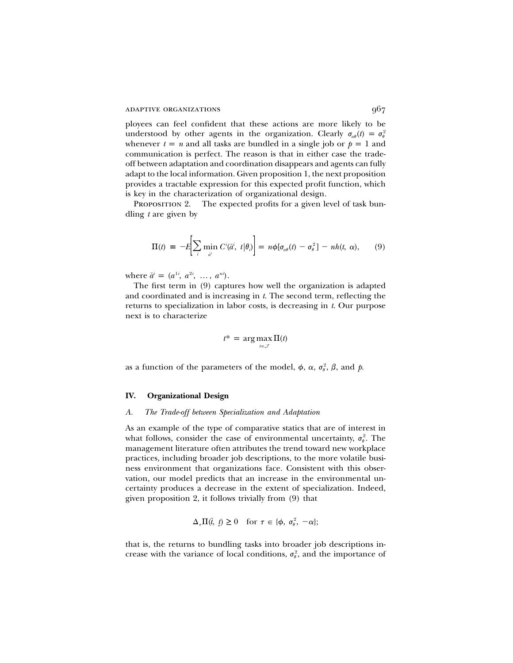ployees can feel confident that these actions are more likely to be understood by other agents in the organization. Clearly  $\sigma_{a\theta}(t) = \sigma_{\theta}^2$ whenever  $t = n$  and all tasks are bundled in a single job or  $p = 1$  and communication is perfect. The reason is that in either case the tradeoff between adaptation and coordination disappears and agents can fully adapt to the local information. Given proposition 1, the next proposition provides a tractable expression for this expected profit function, which is key in the characterization of organizational design.

PROPOSITION 2. The expected profits for a given level of task bundling *t* are given by

$$
\Pi(t) = -E\bigg[\sum_i \min_{\tilde{a}^i} C^i(\tilde{a}^i, t | \theta_i)\bigg] = n\phi[\sigma_{a\theta}(t) - \sigma_{\theta}^2] - nh(t, \alpha), \qquad (9)
$$

where  $\bar{a}^i = (a^{1i}, a^{2i}, \ldots, a^{ni}).$ 

The first term in (9) captures how well the organization is adapted and coordinated and is increasing in *t*. The second term, reflecting the returns to specialization in labor costs, is decreasing in *t*. Our purpose next is to characterize

$$
t^* = \arg\max_{t \in \mathcal{J}} \Pi(t)
$$

as a function of the parameters of the model,  $\phi$ ,  $\alpha$ ,  $\sigma_{\theta}^2$ ,  $\beta$ , and  $\dot{p}$ .

# **IV. Organizational Design**

#### *A. The Trade-off between Specialization and Adaptation*

As an example of the type of comparative statics that are of interest in what follows, consider the case of environmental uncertainty,  $\sigma_{\theta}^2$ . The management literature often attributes the trend toward new workplace practices, including broader job descriptions, to the more volatile business environment that organizations face. Consistent with this observation, our model predicts that an increase in the environmental uncertainty produces a decrease in the extent of specialization. Indeed, given proposition 2, it follows trivially from (9) that

$$
\Delta_{\tau} \Pi(\bar{t}, \underline{t}) \ge 0 \quad \text{for } \tau \in \{\phi, \sigma_{\theta}^2, -\alpha\};
$$

that is, the returns to bundling tasks into broader job descriptions increase with the variance of local conditions,  $\sigma_{\theta}^2$ , and the importance of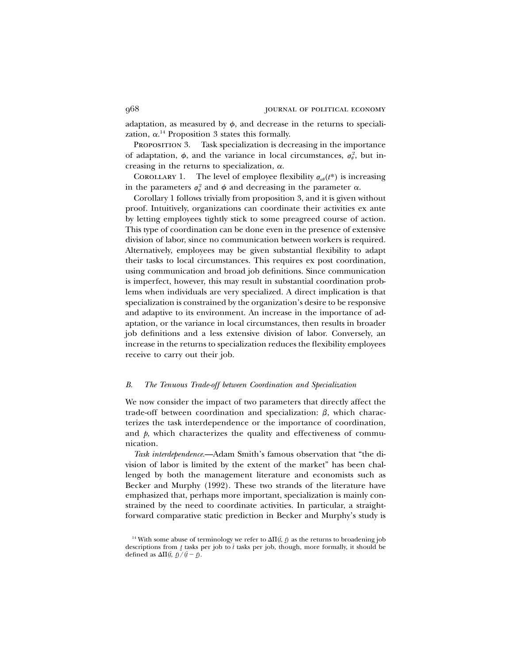adaptation, as measured by  $\phi$ , and decrease in the returns to specialization,  $\alpha$ .<sup>14</sup> Proposition 3 states this formally.

PROPOSITION 3. Task specialization is decreasing in the importance of adaptation,  $\phi$ , and the variance in local circumstances,  $\sigma_{\theta}^2$ , but increasing in the returns to specialization,  $\alpha$ .

COROLLARY 1. The level of employee flexibility  $\sigma_{\alpha\beta}(t^*)$  is increasing in the parameters  $\sigma_a^2$  and  $\phi$  and decreasing in the parameter  $\alpha$ .

Corollary 1 follows trivially from proposition 3, and it is given without proof. Intuitively, organizations can coordinate their activities ex ante by letting employees tightly stick to some preagreed course of action. This type of coordination can be done even in the presence of extensive division of labor, since no communication between workers is required. Alternatively, employees may be given substantial flexibility to adapt their tasks to local circumstances. This requires ex post coordination, using communication and broad job definitions. Since communication is imperfect, however, this may result in substantial coordination problems when individuals are very specialized. A direct implication is that specialization is constrained by the organization's desire to be responsive and adaptive to its environment. An increase in the importance of adaptation, or the variance in local circumstances, then results in broader job definitions and a less extensive division of labor. Conversely, an increase in the returns to specialization reduces the flexibility employees receive to carry out their job.

## *B. The Tenuous Trade-off between Coordination and Specialization*

We now consider the impact of two parameters that directly affect the trade-off between coordination and specialization:  $\beta$ , which characterizes the task interdependence or the importance of coordination, and  $p$ , which characterizes the quality and effectiveness of communication.

*Task interdependence*.—Adam Smith's famous observation that "the division of labor is limited by the extent of the market" has been challenged by both the management literature and economists such as Becker and Murphy (1992). These two strands of the literature have emphasized that, perhaps more important, specialization is mainly constrained by the need to coordinate activities. In particular, a straightforward comparative static prediction in Becker and Murphy's study is

<sup>&</sup>lt;sup>14</sup> With some abuse of terminology we refer to  $\Delta\Pi(\bar{t}, t)$  as the returns to broadening job descriptions from  $t$  tasks per job to  $\overline{t}$  tasks per job, though, more formally, it should be defined as  $\Delta \Pi(\bar{t}, t) / (\bar{t} - t)$ .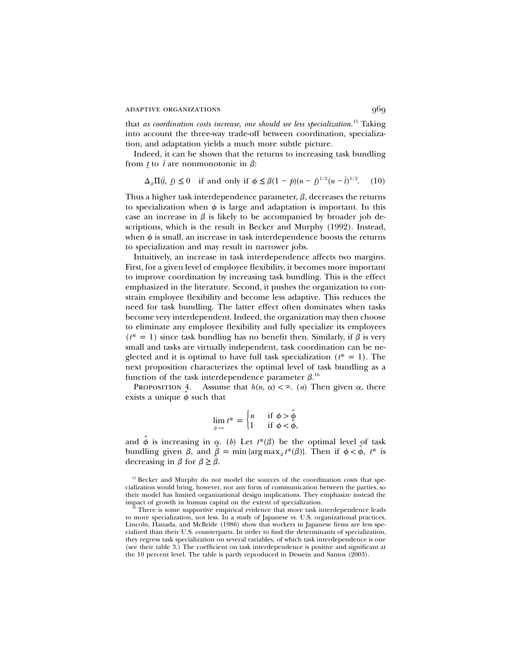that *as coordination costs increase, one should see less specialization*. <sup>15</sup> Taking into account the three-way trade-off between coordination, specialization, and adaptation yields a much more subtle picture.

Indeed, it can be shown that the returns to increasing task bundling from t to  $\bar{t}$  are nonmonotonic in  $\beta$ :

$$
\Delta_{\beta} \Pi(\bar{t}, \underline{t}) \le 0 \quad \text{if and only if } \phi \le \beta (1 - p)(n - \underline{t})^{1/2} (n - \bar{t})^{1/2}. \tag{10}
$$

Thus a higher task interdependence parameter,  $\beta$ , decreases the returns to specialization when  $\phi$  is large and adaptation is important. In this case an increase in  $\beta$  is likely to be accompanied by broader job descriptions, which is the result in Becker and Murphy (1992). Instead, when  $\phi$  is small, an increase in task interdependence boosts the returns to specialization and may result in narrower jobs.

Intuitively, an increase in task interdependence affects two margins. First, for a given level of employee flexibility, it becomes more important to improve coordination by increasing task bundling. This is the effect emphasized in the literature. Second, it pushes the organization to constrain employee flexibility and become less adaptive. This reduces the need for task bundling. The latter effect often dominates when tasks become very interdependent. Indeed, the organization may then choose to eliminate any employee flexibility and fully specialize its employees ( $t^* = 1$ ) since task bundling has no benefit then. Similarly, if  $\beta$  is very small and tasks are virtually independent, task coordination can be neglected and it is optimal to have full task specialization ( $t^* = 1$ ). The next proposition characterizes the optimal level of task bundling as a function of the task interdependence parameter  $\beta$ .<sup>16</sup>

PROPOSITION 4. Assume that  $h(n, \alpha) < \infty$ . (*a*) Then given  $\alpha$ , there exists a unique  $\hat{\phi}$  such that

$$
\lim_{\beta \to \infty} t^* = \begin{cases} n & \text{if } \phi > \hat{\phi} \\ 1 & \text{if } \phi < \hat{\phi}, \end{cases}
$$

and  $\hat{\phi}$  is increasing in  $\alpha$ . (*b*) Let  $t^*(\beta)$  be the optimal level of task bundling given  $\beta$ , and  $\beta = \min \{ \arg \max_{\beta} t^*(\beta) \}$ . Then if  $\phi < \phi$ ,  $t^*$  is decreasing in  $\beta$  for  $\beta \geq \beta$ .

<sup>&</sup>lt;sup>15</sup> Becker and Murphy do not model the sources of the coordination costs that specialization would bring, however, nor any form of communication between the parties, so their model has limited organizational design implications. They emphasize instead the impact of growth in human capital on the extent of specialization.

<sup>&</sup>lt;sup>16</sup> There is some supportive empirical evidence that more task interdependence leads to more specialization, not less. In a study of Japanese vs. U.S. organizational practices, Lincoln, Hanada, and McBride (1986) show that workers in Japanese firms are less specialized than their U.S. counterparts. In order to find the determinants of specialization, they regress task specialization on several variables, of which task interdependence is one (see their table 3.) The coefficient on task interdependence is positive and significant at the 10 percent level. The table is partly reproduced in Dessein and Santos (2003).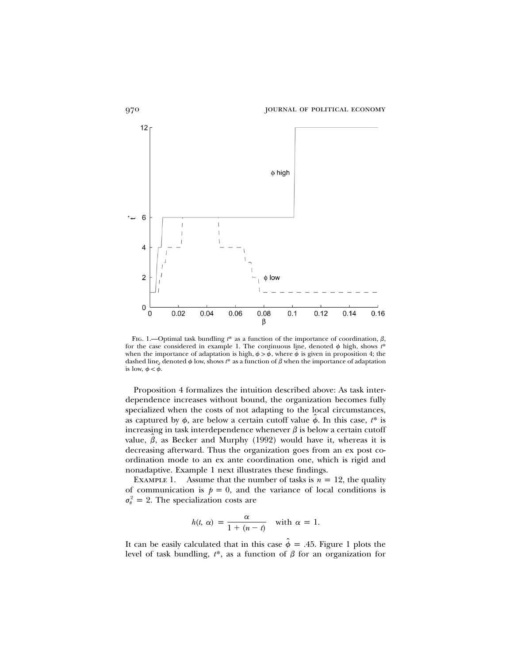

Fig. 1.—Optimal task bundling  $t^*$  as a function of the importance of coordination,  $\beta$ , for the case considered in example 1. The continuous line, denoted  $\phi$  high, shows  $t^*$ when the importance of adaptation is high,  $\phi > \hat{\phi}$ , where  $\hat{\phi}$  is given in proposition 4; the dashed line, denoted  $\phi$  low, shows  $t^*$  as a function of  $\beta$  when the importance of adaptation is low,  $\phi < \phi$ .

Proposition 4 formalizes the intuition described above: As task interdependence increases without bound, the organization becomes fully specialized when the costs of not adapting to the local circumstances, as captured by  $\phi$ , are below a certain cutoff value  $\hat{\phi}$ . In this case,  $t^*$  is increasing in task interdependence whenever  $\beta$  is below a certain cutoff value,  $\hat{\beta}$ , as Becker and Murphy (1992) would have it, whereas it is decreasing afterward. Thus the organization goes from an ex post coordination mode to an ex ante coordination one, which is rigid and nonadaptive. Example 1 next illustrates these findings.

EXAMPLE 1. Assume that the number of tasks is  $n = 12$ , the quality of communication is  $p = 0$ , and the variance of local conditions is  $\sigma_{\theta}^2 = 2$ . The specialization costs are

$$
h(t, \alpha) = \frac{\alpha}{1 + (n - t)}
$$
 with  $\alpha = 1$ .

It can be easily calculated that in this case  $\hat{\phi} = .45$ . Figure 1 plots the level of task bundling,  $t^*$ , as a function of  $\beta$  for an organization for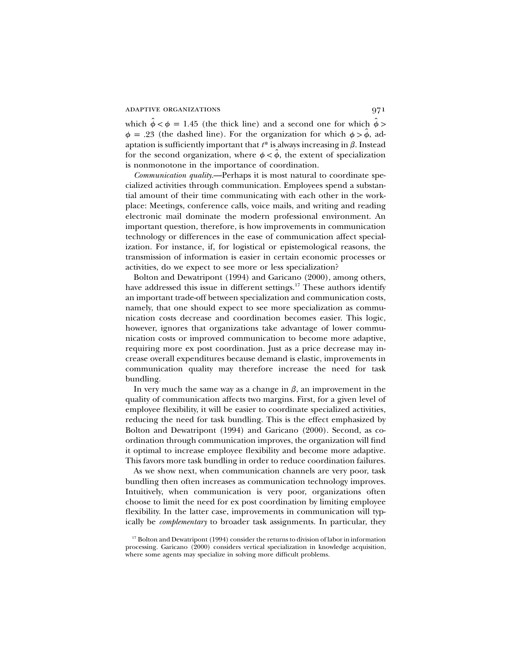which  $\phi < \phi = 1.45$  (the thick line) and a second one for which  $\hat{\phi} >$  $\phi = .23$  (the dashed line). For the organization for which  $\phi > \phi$ , adaptation is sufficiently important that  $t^*$  is always increasing in  $\beta$ . Instead for the second organization, where  $\phi < \phi$ , the extent of specialization is nonmonotone in the importance of coordination.

*Communication quality*.—Perhaps it is most natural to coordinate specialized activities through communication. Employees spend a substantial amount of their time communicating with each other in the workplace: Meetings, conference calls, voice mails, and writing and reading electronic mail dominate the modern professional environment. An important question, therefore, is how improvements in communication technology or differences in the ease of communication affect specialization. For instance, if, for logistical or epistemological reasons, the transmission of information is easier in certain economic processes or activities, do we expect to see more or less specialization?

Bolton and Dewatripont (1994) and Garicano (2000), among others, have addressed this issue in different settings.<sup>17</sup> These authors identify an important trade-off between specialization and communication costs, namely, that one should expect to see more specialization as communication costs decrease and coordination becomes easier. This logic, however, ignores that organizations take advantage of lower communication costs or improved communication to become more adaptive, requiring more ex post coordination. Just as a price decrease may increase overall expenditures because demand is elastic, improvements in communication quality may therefore increase the need for task bundling.

In very much the same way as a change in  $\beta$ , an improvement in the quality of communication affects two margins. First, for a given level of employee flexibility, it will be easier to coordinate specialized activities, reducing the need for task bundling. This is the effect emphasized by Bolton and Dewatripont (1994) and Garicano (2000). Second, as coordination through communication improves, the organization will find it optimal to increase employee flexibility and become more adaptive. This favors more task bundling in order to reduce coordination failures.

As we show next, when communication channels are very poor, task bundling then often increases as communication technology improves. Intuitively, when communication is very poor, organizations often choose to limit the need for ex post coordination by limiting employee flexibility. In the latter case, improvements in communication will typically be *complementary* to broader task assignments. In particular, they

<sup>&</sup>lt;sup>17</sup> Bolton and Dewatripont (1994) consider the returns to division of labor in information processing. Garicano (2000) considers vertical specialization in knowledge acquisition, where some agents may specialize in solving more difficult problems.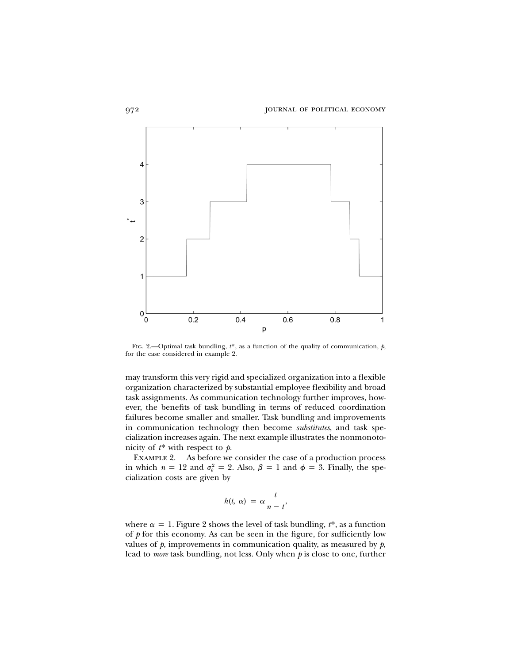

FIG. 2.—Optimal task bundling,  $t^*$ , as a function of the quality of communication,  $\dot{p}$ , for the case considered in example 2.

may transform this very rigid and specialized organization into a flexible organization characterized by substantial employee flexibility and broad task assignments. As communication technology further improves, however, the benefits of task bundling in terms of reduced coordination failures become smaller and smaller. Task bundling and improvements in communication technology then become *substitutes*, and task specialization increases again. The next example illustrates the nonmonotonicity of  $t^*$  with respect to  $\phi$ .

Example 2. As before we consider the case of a production process in which  $n = 12$  and  $\sigma_{\theta}^2 = 2$ . Also,  $\beta = 1$  and  $\phi = 3$ . Finally, the specialization costs are given by

$$
h(t, \alpha) = \alpha \frac{t}{n-t},
$$

where  $\alpha = 1$ . Figure 2 shows the level of task bundling,  $t^*$ , as a function of  $p$  for this economy. As can be seen in the figure, for sufficiently low values of *, improvements in communication quality, as measured by*  $*p*$ *,* lead to *more* task bundling, not less. Only when *p* is close to one, further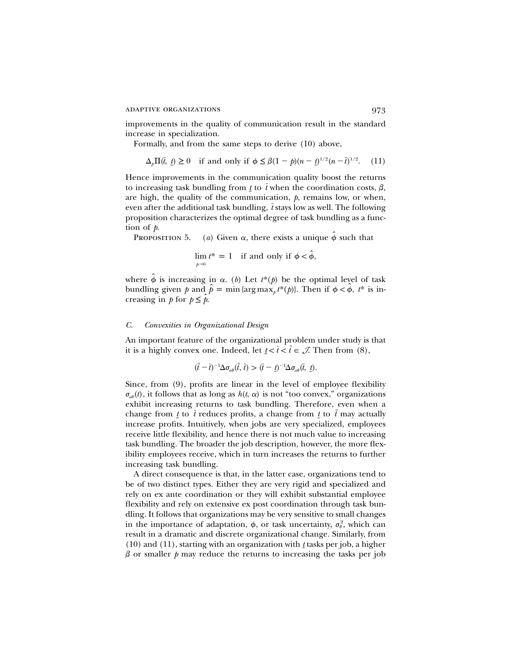improvements in the quality of communication result in the standard increase in specialization.

Formally, and from the same steps to derive (10) above,

$$
\Delta_p \Pi(\bar{t}, \underline{t}) \ge 0 \quad \text{if and only if } \phi \le \beta (1 - p)(n - \underline{t})^{1/2} (n - \bar{t})^{1/2}. \tag{11}
$$

Hence improvements in the communication quality boost the returns to increasing task bundling from t to  $\bar{t}$  when the coordination costs,  $\beta$ , are high, the quality of the communication, *p*, remains low, or when, even after the additional task bundling,  $\bar{t}$  stays low as well. The following proposition characterizes the optimal degree of task bundling as a function of *p*.

PROPOSITION 5. (*a*) Given  $\alpha$ , there exists a unique  $\hat{\phi}$  such that

$$
\lim_{p \to 0} t^* = 1 \quad \text{if and only if } \phi < \hat{\phi},
$$

where  $\hat{\phi}$  is increasing in  $\alpha$ . (*b*) Let  $t^*(p)$  be the optimal level of task bundling given *p* and  $\hat{p} = \min \{ \arg \max_{b} t^*(b) \}$ . Then if  $\phi < \hat{\phi}$ ,  $t^*$  is increasing in  $p$  for  $p \leq \hat{p}$ .

# *C. Convexities in Organizational Design*

An important feature of the organizational problem under study is that it is a highly convex one. Indeed, let  $\frac{t}{\sqrt{t}} < \bar{t} \in \mathcal{J}$ . Then from (8),

$$
(\bar{\bar{t}}-\bar{t})^{-1}\Delta \sigma_{a\theta}(\bar{\bar{t}},\bar{t}) > (\bar{t}-\underline{t})^{-1}\Delta \sigma_{a\theta}(\bar{t},\underline{t}).
$$

Since, from (9), profits are linear in the level of employee flexibility  $\sigma_{\alpha\beta}(t)$ , it follows that as long as  $h(t, \alpha)$  is not "too convex," organizations exhibit increasing returns to task bundling. Therefore, even when a change from t to  $\bar{t}$  reduces profits, a change from t to  $\bar{t}$  may actually increase profits. Intuitively, when jobs are very specialized, employees receive little flexibility, and hence there is not much value to increasing task bundling. The broader the job description, however, the more flexibility employees receive, which in turn increases the returns to further increasing task bundling.

A direct consequence is that, in the latter case, organizations tend to be of two distinct types. Either they are very rigid and specialized and rely on ex ante coordination or they will exhibit substantial employee flexibility and rely on extensive ex post coordination through task bundling. It follows that organizations may be very sensitive to small changes in the importance of adaptation,  $\phi$ , or task uncertainty,  $\sigma_{\theta}^2$ , which can result in a dramatic and discrete organizational change. Similarly, from (10) and (11), starting with an organization with  $t$  tasks per job, a higher  $\beta$  or smaller  $\beta$  may reduce the returns to increasing the tasks per job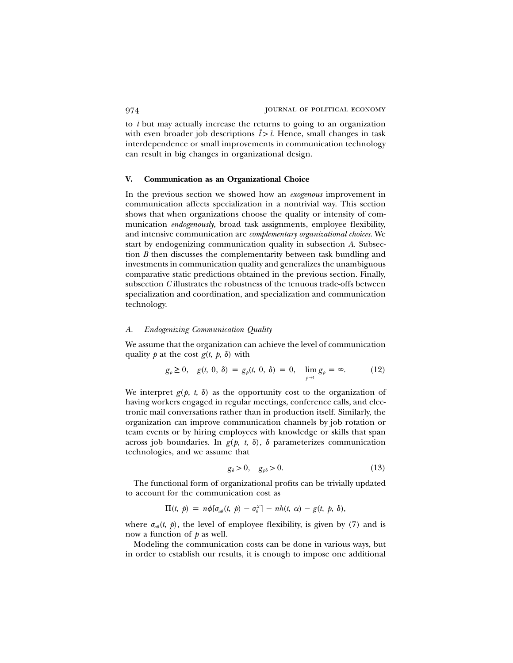to  $\bar{t}$  but may actually increase the returns to going to an organization with even broader job descriptions  $\bar{t} > \bar{t}$ . Hence, small changes in task interdependence or small improvements in communication technology can result in big changes in organizational design.

# **V. Communication as an Organizational Choice**

In the previous section we showed how an *exogenous* improvement in communication affects specialization in a nontrivial way. This section shows that when organizations choose the quality or intensity of communication *endogenously*, broad task assignments, employee flexibility, and intensive communication are *complementary organizational choices*. We start by endogenizing communication quality in subsection *A*. Subsection *B* then discusses the complementarity between task bundling and investments in communication quality and generalizes the unambiguous comparative static predictions obtained in the previous section. Finally, subsection *C* illustrates the robustness of the tenuous trade-offs between specialization and coordination, and specialization and communication technology.

### *A. Endogenizing Communication Quality*

We assume that the organization can achieve the level of communication quality *p* at the cost  $g(t, p, \delta)$  with

$$
g_p \ge 0
$$
,  $g(t, 0, \delta) = g_p(t, 0, \delta) = 0$ ,  $\lim_{p \to 1} g_p = \infty$ . (12)

We interpret  $g(p, t, \delta)$  as the opportunity cost to the organization of having workers engaged in regular meetings, conference calls, and electronic mail conversations rather than in production itself. Similarly, the organization can improve communication channels by job rotation or team events or by hiring employees with knowledge or skills that span across job boundaries. In  $g(t, t, \delta)$ ,  $\delta$  parameterizes communication technologies, and we assume that

$$
g_{\delta} > 0, \quad g_{\rho\delta} > 0. \tag{13}
$$

The functional form of organizational profits can be trivially updated to account for the communication cost as

$$
\Pi(t, p) = n\phi[\sigma_{a\theta}(t, p) - \sigma_{\theta}^{2}] - nh(t, \alpha) - g(t, p, \delta),
$$

where  $\sigma_{a\theta}(t, p)$ , the level of employee flexibility, is given by (7) and is now a function of *p* as well.

Modeling the communication costs can be done in various ways, but in order to establish our results, it is enough to impose one additional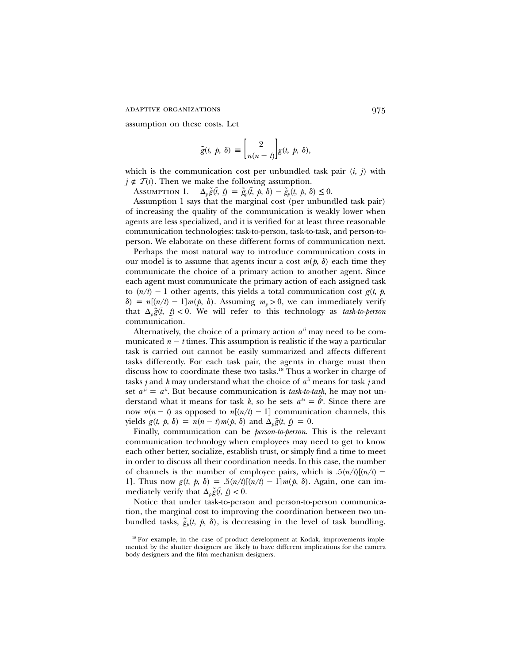assumption on these costs. Let

$$
\tilde{g}(t, p, \delta) = \left[\frac{2}{n(n-t)}\right]g(t, p, \delta),
$$

which is the communication cost per unbundled task pair  $(i, j)$  with  $j \notin \mathcal{T}(i)$ . Then we make the following assumption.

Assumption 1.  $\Delta_{\rho} \tilde{g}(\bar{t}, \underline{t}) = \tilde{g}_{\rho}(\bar{t}, \rho, \delta) - \tilde{g}_{\rho}(\underline{t}, \rho, \delta) \leq 0.$ 

Assumption 1 says that the marginal cost (per unbundled task pair) of increasing the quality of the communication is weakly lower when agents are less specialized, and it is verified for at least three reasonable communication technologies: task-to-person, task-to-task, and person-toperson. We elaborate on these different forms of communication next.

Perhaps the most natural way to introduce communication costs in our model is to assume that agents incur a cost  $m(p, \delta)$  each time they communicate the choice of a primary action to another agent. Since each agent must communicate the primary action of each assigned task to  $(n/t) - 1$  other agents, this yields a total communication cost  $g(t, p,$  $\delta$ ) =  $n[(n/t) - 1]m(p, \delta)$ . Assuming  $m_b > 0$ , we can immediately verify that  $\Delta_{p} \tilde{g}(\bar{t}, t) < 0$ . We will refer to this technology as *task-to-person* communication.

Alternatively, the choice of a primary action  $a^{\mu}$  may need to be communicated  $n - t$  times. This assumption is realistic if the way a particular task is carried out cannot be easily summarized and affects different tasks differently. For each task pair, the agents in charge must then discuss how to coordinate these two tasks.<sup>18</sup> Thus a worker in charge of tasks *j* and *k* may understand what the choice of  $a^i$  means for task *j* and set  $a^{ji} = a^{ii}$ . But because communication is *task-to-task*, he may not understand what it means for task *k*, so he sets  $a^{ki} = \hat{\theta}^i$ . Since there are now  $n(n - t)$  as opposed to  $n[(n/t) - 1]$  communication channels, this yields  $g(t, p, \delta) = n(n-t)m(p, \delta)$  and  $\Delta_p \tilde{g}(\bar{t}, t) = 0$ .

Finally, communication can be *person-to-person*. This is the relevant communication technology when employees may need to get to know each other better, socialize, establish trust, or simply find a time to meet in order to discuss all their coordination needs. In this case, the number of channels is the number of employee pairs, which is  $.5(n/t)[(n/t)$ 1]. Thus now  $g(t, p, \delta) = .5(n/t)[(n/t) - 1]m(p, \delta)$ . Again, one can immediately verify that  $\Delta_p \tilde{g}(\bar{t}, t) < 0$ .

Notice that under task-to-person and person-to-person communication, the marginal cost to improving the coordination between two unbundled tasks,  $\tilde{g}_n(t, p, \delta)$ , is decreasing in the level of task bundling.

<sup>&</sup>lt;sup>18</sup> For example, in the case of product development at Kodak, improvements implemented by the shutter designers are likely to have different implications for the camera body designers and the film mechanism designers.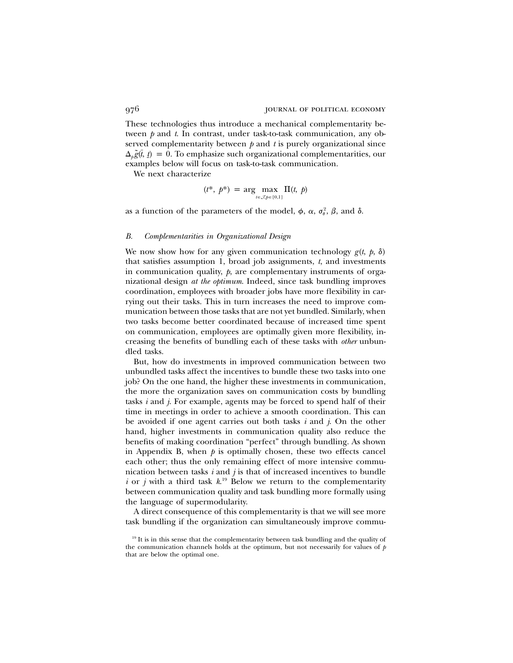These technologies thus introduce a mechanical complementarity between *p* and *t*. In contrast, under task-to-task communication, any observed complementarity between *p* and *t* is purely organizational since  $\Delta_{p} \tilde{g}(\bar{t}, t) = 0$ . To emphasize such organizational complementarities, our examples below will focus on task-to-task communication.

We next characterize

$$
(t^*,\ p^*)\ =\ \arg\max_{t\in\mathcal{J},p\in[0,1]}\Pi(t,\ p)
$$

as a function of the parameters of the model,  $\phi$ ,  $\alpha$ ,  $\sigma_{\theta}^2$ ,  $\beta$ , and  $\delta$ .

#### *B. Complementarities in Organizational Design*

We now show how for any given communication technology  $g(t, p, \delta)$ that satisfies assumption 1, broad job assignments, *t*, and investments in communication quality, *p*, are complementary instruments of organizational design *at the optimum*. Indeed, since task bundling improves coordination, employees with broader jobs have more flexibility in carrying out their tasks. This in turn increases the need to improve communication between those tasks that are not yet bundled. Similarly, when two tasks become better coordinated because of increased time spent on communication, employees are optimally given more flexibility, increasing the benefits of bundling each of these tasks with *other* unbundled tasks.

But, how do investments in improved communication between two unbundled tasks affect the incentives to bundle these two tasks into one job? On the one hand, the higher these investments in communication, the more the organization saves on communication costs by bundling tasks *i* and *j*. For example, agents may be forced to spend half of their time in meetings in order to achieve a smooth coordination. This can be avoided if one agent carries out both tasks *i* and *j*. On the other hand, higher investments in communication quality also reduce the benefits of making coordination "perfect" through bundling. As shown in Appendix B, when  $p$  is optimally chosen, these two effects cancel each other; thus the only remaining effect of more intensive communication between tasks *i* and *j* is that of increased incentives to bundle *i* or *j* with a third task  $k^{19}$ . Below we return to the complementarity between communication quality and task bundling more formally using the language of supermodularity.

A direct consequence of this complementarity is that we will see more task bundling if the organization can simultaneously improve commu-

<sup>&</sup>lt;sup>19</sup> It is in this sense that the complementarity between task bundling and the quality of the communication channels holds at the optimum, but not necessarily for values of *p* that are below the optimal one.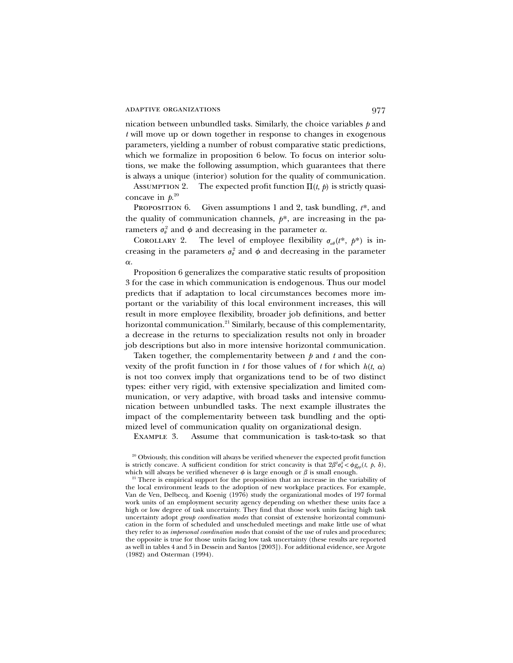nication between unbundled tasks. Similarly, the choice variables *p* and *t* will move up or down together in response to changes in exogenous parameters, yielding a number of robust comparative static predictions, which we formalize in proposition 6 below. To focus on interior solutions, we make the following assumption, which guarantees that there is always a unique (interior) solution for the quality of communication.

ASSUMPTION 2. The expected profit function  $\Pi(t, p)$  is strictly quasiconcave in *p*. 20

PROPOSITION 6. Given assumptions 1 and 2, task bundling,  $t^*$ , and the quality of communication channels,  $p^*$ , are increasing in the parameters  $\sigma_{\theta}^2$  and  $\phi$  and decreasing in the parameter  $\alpha$ .

COROLLARY 2. The level of employee flexibility  $\sigma_{a\theta}(t^*, p^*)$  is increasing in the parameters  $\sigma_a^2$  and  $\phi$  and decreasing in the parameter  $\alpha$ .

Proposition 6 generalizes the comparative static results of proposition 3 for the case in which communication is endogenous. Thus our model predicts that if adaptation to local circumstances becomes more important or the variability of this local environment increases, this will result in more employee flexibility, broader job definitions, and better horizontal communication.<sup>21</sup> Similarly, because of this complementarity, a decrease in the returns to specialization results not only in broader job descriptions but also in more intensive horizontal communication.

Taken together, the complementarity between *p* and *t* and the convexity of the profit function in *t* for those values of *t* for which  $h(t, \alpha)$ is not too convex imply that organizations tend to be of two distinct types: either very rigid, with extensive specialization and limited communication, or very adaptive, with broad tasks and intensive communication between unbundled tasks. The next example illustrates the impact of the complementarity between task bundling and the optimized level of communication quality on organizational design.

Example 3. Assume that communication is task-to-task so that

<sup>&</sup>lt;sup>20</sup> Obviously, this condition will always be verified whenever the expected profit function is strictly concave. A sufficient condition for strict concavity is that  $2\beta^2 \sigma_\theta^2 < \phi g_{\rho \rho}(t, p, \delta)$ , which will always be verified whenever  $\phi$  is large enough or  $\beta$  is small enough.

<sup>&</sup>lt;sup>21</sup> There is empirical support for the proposition that an increase in the variability of the local environment leads to the adoption of new workplace practices. For example, Van de Ven, Delbecq, and Koenig (1976) study the organizational modes of 197 formal work units of an employment security agency depending on whether these units face a high or low degree of task uncertainty. They find that those work units facing high task uncertainty adopt *group coordination modes* that consist of extensive horizontal communication in the form of scheduled and unscheduled meetings and make little use of what they refer to as *impersonal coordination modes* that consist of the use of rules and procedures; the opposite is true for those units facing low task uncertainty (these results are reported as well in tables 4 and 5 in Dessein and Santos [2003]). For additional evidence, see Argote (1982) and Osterman (1994).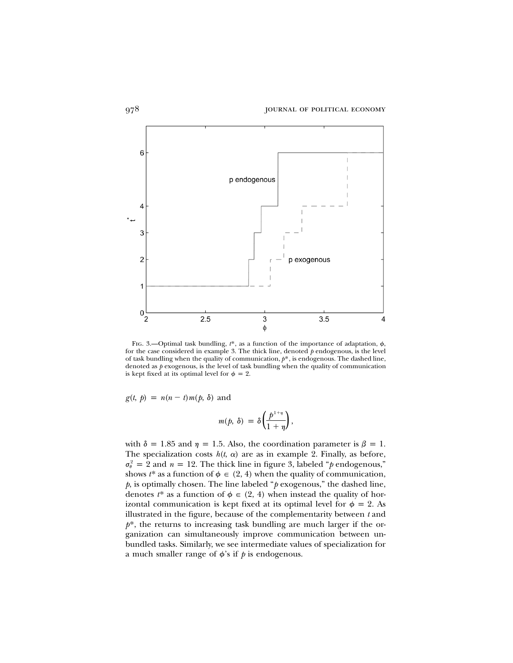

FIG. 3.—Optimal task bundling,  $t^*$ , as a function of the importance of adaptation,  $\phi$ , for the case considered in example 3. The thick line, denoted  $\hat{p}$  endogenous, is the level of task bundling when the quality of communication,  $p^\ast$  , is endogenous. The dashed line, denoted as  $p$  exogenous, is the level of task bundling when the quality of communication is kept fixed at its optimal level for  $\phi = 2$ .

 $g(t, p) = n(n - t) m(p, \delta)$  and

$$
m(p, \delta) = \delta \left( \frac{p^{1+\eta}}{1+\eta} \right),
$$

with  $\delta = 1.85$  and  $\eta = 1.5$ . Also, the coordination parameter is  $\beta = 1$ . The specialization costs  $h(t, \alpha)$  are as in example 2. Finally, as before,  $\sigma_{\theta}^2 = 2$  and  $n = 12$ . The thick line in figure 3, labeled "*p* endogenous," shows  $t^*$  as a function of  $\phi \in (2, 4)$  when the quality of communication, *p*, is optimally chosen. The line labeled "*p* exogenous," the dashed line, denotes  $t^*$  as a function of  $\phi \in (2, 4)$  when instead the quality of horizontal communication is kept fixed at its optimal level for  $\phi = 2$ . As illustrated in the figure, because of the complementarity between *t* and *p*\*, the returns to increasing task bundling are much larger if the organization can simultaneously improve communication between unbundled tasks. Similarly, we see intermediate values of specialization for a much smaller range of  $\phi$ 's if  $\phi$  is endogenous.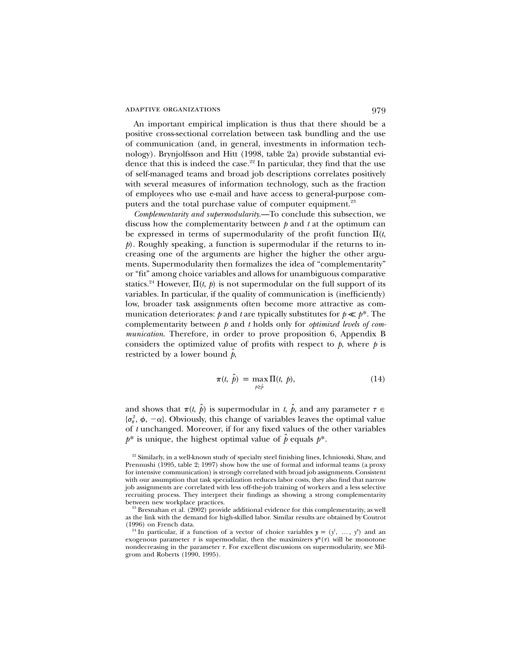An important empirical implication is thus that there should be a positive cross-sectional correlation between task bundling and the use of communication (and, in general, investments in information technology). Brynjolfsson and Hitt (1998, table 2a) provide substantial evidence that this is indeed the case. $22$  In particular, they find that the use of self-managed teams and broad job descriptions correlates positively with several measures of information technology, such as the fraction of employees who use e-mail and have access to general-purpose computers and the total purchase value of computer equipment.<sup>23</sup>

*Complementarity and supermodularity*.—To conclude this subsection, we discuss how the complementarity between *p* and *t* at the optimum can be expressed in terms of supermodularity of the profit function  $\Pi(t)$ , *p*). Roughly speaking, a function is supermodular if the returns to increasing one of the arguments are higher the higher the other arguments. Supermodularity then formalizes the idea of "complementarity" or "fit" among choice variables and allows for unambiguous comparative statics.<sup>24</sup> However,  $\Pi(t, p)$  is not supermodular on the full support of its variables. In particular, if the quality of communication is (inefficiently) low, broader task assignments often become more attractive as communication deteriorates:  $p$  and  $t$  are typically substitutes for  $p \ll p^*$ . The complementarity between *p* and *t* holds only for *optimized levels of communication*. Therefore, in order to prove proposition 6, Appendix B considers the optimized value of profits with respect to  $p$ , where  $p$  is restricted by a lower bound  $\hat{p}$ ,

$$
\pi(t, \hat{p}) = \max_{p \geq \hat{p}} \Pi(t, p), \tag{14}
$$

and shows that  $\pi(t, \hat{p})$  is supermodular in *t*,  $\hat{p}$ , and any parameter  $\tau \in$  $\{\sigma_{\theta}^2, \phi, -\alpha\}$ . Obviously, this change of variables leaves the optimal value of *t* unchanged. Moreover, if for any fixed values of the other variables  $p^*$  is unique, the highest optimal value of p equals  $p^*$ .

<sup>&</sup>lt;sup>22</sup> Similarly, in a well-known study of specialty steel finishing lines, Ichniowski, Shaw, and Prennushi (1995, table 2; 1997) show how the use of formal and informal teams (a proxy for intensive communication) is strongly correlated with broad job assignments. Consistent with our assumption that task specialization reduces labor costs, they also find that narrow job assignments are correlated with less off-the-job training of workers and a less selective recruiting process. They interpret their findings as showing a strong complementarity between new workplace practices.

 $23$  Bresnahan et al. (2002) provide additional evidence for this complementarity, as well as the link with the demand for high-skilled labor. Similar results are obtained by Coutrot (1996) on French data.

<sup>&</sup>lt;sup>24</sup> In particular, if a function of a vector of choice variables  $y = (y^1, \ldots, y^k)$  and an exogenous parameter  $\tau$  is supermodular, then the maximizers  $y^*(\tau)$  will be monotone nondecreasing in the parameter  $\tau$ . For excellent discussions on supermodularity, see Milgrom and Roberts (1990, 1995).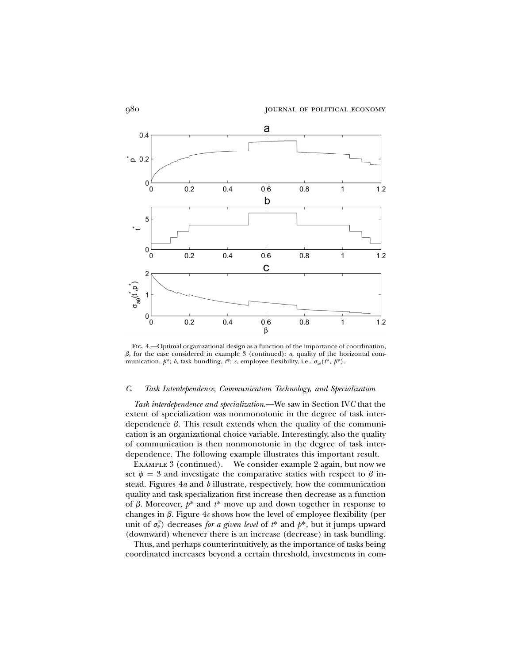

Fig. 4.—Optimal organizational design as a function of the importance of coordination,  $\beta$ , for the case considered in example 3 (continued): *a*, quality of the horizontal communication,  $p^*$ ; *b*, task bundling,  $t^*$ ; *c*, employee flexibility, i.e.,  $\sigma_{a\theta}(t^*, p^*)$ .

#### *C. Task Interdependence, Communication Technology, and Specialization*

*Task interdependence and specialization*.—We saw in Section IV*C* that the extent of specialization was nonmonotonic in the degree of task interdependence  $\beta$ . This result extends when the quality of the communication is an organizational choice variable. Interestingly, also the quality of communication is then nonmonotonic in the degree of task interdependence. The following example illustrates this important result.

Example 3 (continued). We consider example 2 again, but now we set  $\phi = 3$  and investigate the comparative statics with respect to  $\beta$  instead. Figures 4*a* and *b* illustrate, respectively, how the communication quality and task specialization first increase then decrease as a function of  $\beta$ . Moreover,  $p^*$  and  $t^*$  move up and down together in response to changes in  $\beta$ . Figure  $4c$  shows how the level of employee flexibility (per unit of  $\sigma_{\theta}^2$ ) decreases *for a given level* of  $t^*$  and  $p^*$ , but it jumps upward (downward) whenever there is an increase (decrease) in task bundling.

Thus, and perhaps counterintuitively, as the importance of tasks being coordinated increases beyond a certain threshold, investments in com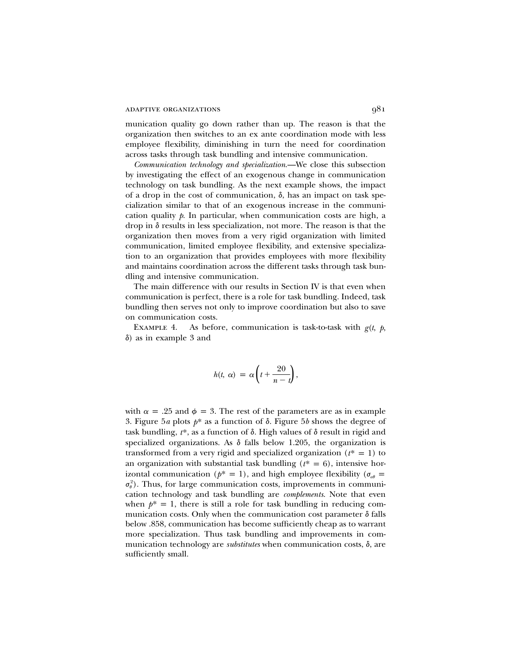munication quality go down rather than up. The reason is that the organization then switches to an ex ante coordination mode with less employee flexibility, diminishing in turn the need for coordination across tasks through task bundling and intensive communication.

*Communication technology and specialization*.—We close this subsection by investigating the effect of an exogenous change in communication technology on task bundling. As the next example shows, the impact of a drop in the cost of communication,  $\delta$ , has an impact on task specialization similar to that of an exogenous increase in the communication quality *p*. In particular, when communication costs are high, a drop in  $\delta$  results in less specialization, not more. The reason is that the organization then moves from a very rigid organization with limited communication, limited employee flexibility, and extensive specialization to an organization that provides employees with more flexibility and maintains coordination across the different tasks through task bundling and intensive communication.

The main difference with our results in Section IV is that even when communication is perfect, there is a role for task bundling. Indeed, task bundling then serves not only to improve coordination but also to save on communication costs.

EXAMPLE 4. As before, communication is task-to-task with  $g(t, p)$ ,  $\delta$ ) as in example 3 and

$$
h(t, \alpha) = \alpha \left( t + \frac{20}{n-t} \right),
$$

with  $\alpha = .25$  and  $\phi = 3$ . The rest of the parameters are as in example 3. Figure 5*a* plots  $p^*$  as a function of  $\delta$ . Figure 5*b* shows the degree of task bundling,  $t^*$ , as a function of  $\delta$ . High values of  $\delta$  result in rigid and specialized organizations. As  $\delta$  falls below 1.205, the organization is transformed from a very rigid and specialized organization ( $t^* = 1$ ) to an organization with substantial task bundling ( $t^* = 6$ ), intensive horizontal communication ( $p^* = 1$ ), and high employee flexibility ( $\sigma_{ab} =$  $\sigma_a^2$ ). Thus, for large communication costs, improvements in communication technology and task bundling are *complements*. Note that even when  $p^* = 1$ , there is still a role for task bundling in reducing communication costs. Only when the communication cost parameter  $\delta$  falls below .858, communication has become sufficiently cheap as to warrant more specialization. Thus task bundling and improvements in communication technology are *substitutes* when communication costs,  $\delta$ , are sufficiently small.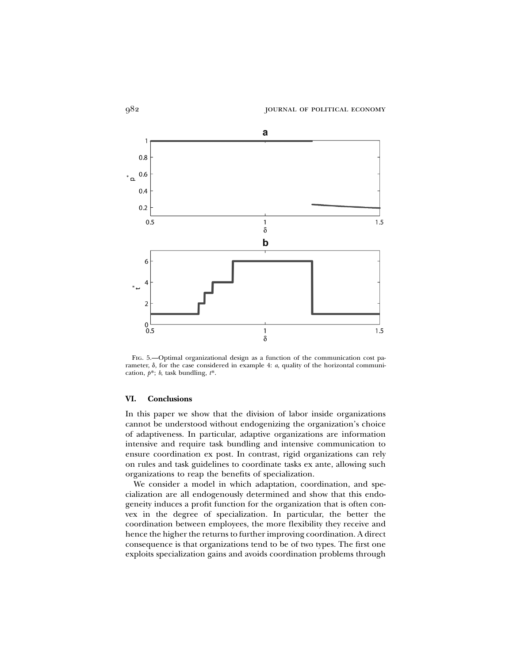

Fig. 5.—Optimal organizational design as a function of the communication cost parameter,  $\delta$ , for the case considered in example 4:  $a$ , quality of the horizontal communication,  $p^*$ ; *b*, task bundling,  $t^*$ .

# **VI. Conclusions**

In this paper we show that the division of labor inside organizations cannot be understood without endogenizing the organization's choice of adaptiveness. In particular, adaptive organizations are information intensive and require task bundling and intensive communication to ensure coordination ex post. In contrast, rigid organizations can rely on rules and task guidelines to coordinate tasks ex ante, allowing such organizations to reap the benefits of specialization.

We consider a model in which adaptation, coordination, and specialization are all endogenously determined and show that this endogeneity induces a profit function for the organization that is often convex in the degree of specialization. In particular, the better the coordination between employees, the more flexibility they receive and hence the higher the returns to further improving coordination. A direct consequence is that organizations tend to be of two types. The first one exploits specialization gains and avoids coordination problems through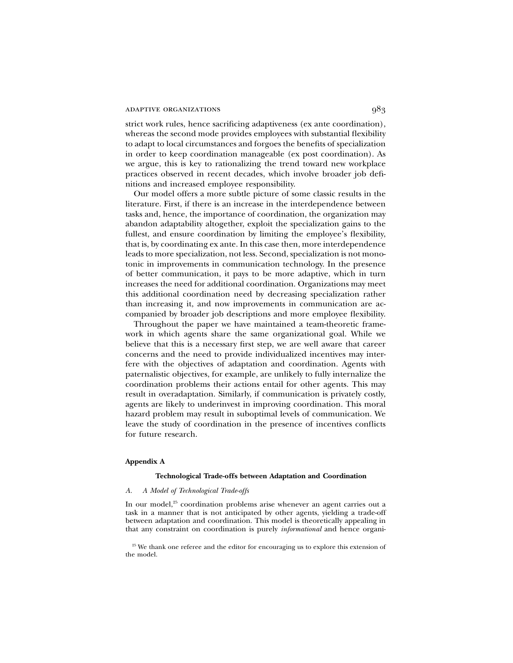strict work rules, hence sacrificing adaptiveness (ex ante coordination), whereas the second mode provides employees with substantial flexibility to adapt to local circumstances and forgoes the benefits of specialization in order to keep coordination manageable (ex post coordination). As we argue, this is key to rationalizing the trend toward new workplace practices observed in recent decades, which involve broader job definitions and increased employee responsibility.

Our model offers a more subtle picture of some classic results in the literature. First, if there is an increase in the interdependence between tasks and, hence, the importance of coordination, the organization may abandon adaptability altogether, exploit the specialization gains to the fullest, and ensure coordination by limiting the employee's flexibility, that is, by coordinating ex ante. In this case then, more interdependence leads to more specialization, not less. Second, specialization is not monotonic in improvements in communication technology. In the presence of better communication, it pays to be more adaptive, which in turn increases the need for additional coordination. Organizations may meet this additional coordination need by decreasing specialization rather than increasing it, and now improvements in communication are accompanied by broader job descriptions and more employee flexibility.

Throughout the paper we have maintained a team-theoretic framework in which agents share the same organizational goal. While we believe that this is a necessary first step, we are well aware that career concerns and the need to provide individualized incentives may interfere with the objectives of adaptation and coordination. Agents with paternalistic objectives, for example, are unlikely to fully internalize the coordination problems their actions entail for other agents. This may result in overadaptation. Similarly, if communication is privately costly, agents are likely to underinvest in improving coordination. This moral hazard problem may result in suboptimal levels of communication. We leave the study of coordination in the presence of incentives conflicts for future research.

#### **Appendix A**

#### **Technological Trade-offs between Adaptation and Coordination**

# *A. A Model of Technological Trade-offs*

In our model,<sup>25</sup> coordination problems arise whenever an agent carries out a task in a manner that is not anticipated by other agents, yielding a trade-off between adaptation and coordination. This model is theoretically appealing in that any constraint on coordination is purely *informational* and hence organi-

<sup>&</sup>lt;sup>25</sup> We thank one referee and the editor for encouraging us to explore this extension of the model.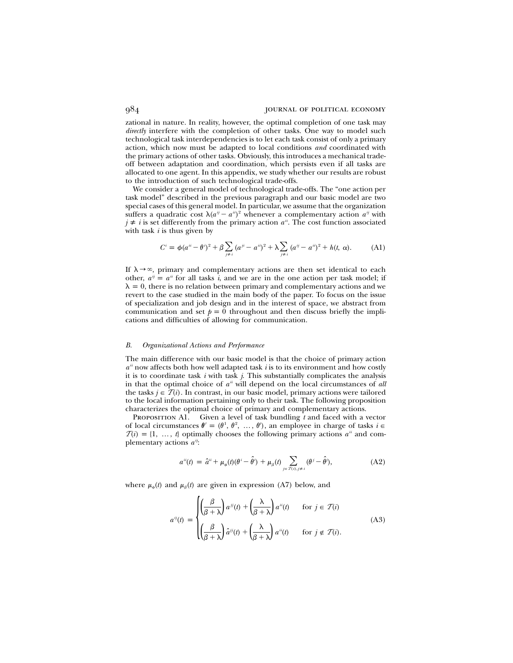zational in nature. In reality, however, the optimal completion of one task may *directly* interfere with the completion of other tasks. One way to model such technological task interdependencies is to let each task consist of only a primary action, which now must be adapted to local conditions *and* coordinated with the primary actions of other tasks. Obviously, this introduces a mechanical tradeoff between adaptation and coordination, which persists even if all tasks are allocated to one agent. In this appendix, we study whether our results are robust to the introduction of such technological trade-offs.

We consider a general model of technological trade-offs. The "one action per task model" described in the previous paragraph and our basic model are two special cases of this general model. In particular, we assume that the organization suffers a quadratic cost  $\lambda (a^{ij} - a^{ii})^2$  whenever a complementary action  $a^{ij}$  with  $i \neq i$  is set differently from the primary action  $a^{ii}$ . The cost function associated with task *i* is thus given by

$$
C^{i} = \phi(a^{ii} - \theta^{i})^{2} + \beta \sum_{j \neq i} (a^{ji} - a^{ij})^{2} + \lambda \sum_{j \neq i} (a^{ij} - a^{ii})^{2} + h(t, \alpha).
$$
 (A1)

If  $\lambda \rightarrow \infty$ , primary and complementary actions are then set identical to each other,  $a^{ij} = a^{ii}$  for all tasks *i*, and we are in the one action per task model; if  $\lambda = 0$ , there is no relation between primary and complementary actions and we revert to the case studied in the main body of the paper. To focus on the issue of specialization and job design and in the interest of space, we abstract from communication and set  $p = 0$  throughout and then discuss briefly the implications and difficulties of allowing for communication.

#### *B. Organizational Actions and Performance*

The main difference with our basic model is that the choice of primary action  $a^i$  now affects both how well adapted task *i* is to its environment and how costly it is to coordinate task *i* with task *j*. This substantially complicates the analysis in that the optimal choice of  $a^i$  will depend on the local circumstances of  $all$ the tasks  $j \in \mathcal{T}(i)$ . In contrast, in our basic model, primary actions were tailored to the local information pertaining only to their task. The following proposition characterizes the optimal choice of primary and complementary actions.

Proposition A1. Given a level of task bundling *t* and faced with a vector of local circumstances  $\theta' = (\theta^1, \theta^2, \ldots, \theta')$ , an employee in charge of tasks  $i \in$  $T(i) = \{1, \ldots, t\}$  optimally chooses the following primary actions  $a^{ii}$  and complementary actions  $a^{ij}$ :

$$
a^{ii}(t) = \hat{a}^{ii} + \mu_{\phi}(t)(\theta^i - \hat{\theta}^i) + \mu_{\beta}(t) \sum_{j \in \mathcal{I}(i), j \neq i} (\theta^j - \hat{\theta}^i),
$$
 (A2)

where  $\mu_{\phi}(t)$  and  $\mu_{\beta}(t)$  are given in expression (A7) below, and

$$
a^{ij}(t) = \begin{cases} \left(\frac{\beta}{\beta + \lambda}\right) a^{ij}(t) + \left(\frac{\lambda}{\beta + \lambda}\right) a^{ii}(t) & \text{for } j \in \mathcal{T}(i) \\ \left(\frac{\beta}{\beta + \lambda}\right) \hat{a}^{ij}(t) + \left(\frac{\lambda}{\beta + \lambda}\right) a^{ii}(t) & \text{for } j \notin \mathcal{T}(i). \end{cases}
$$
(A3)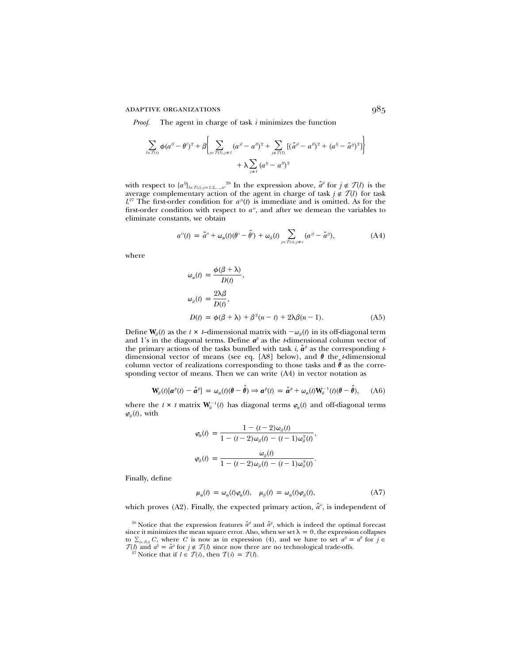*Proof*. The agent in charge of task *i* minimizes the function

$$
\sum_{l \in \mathcal{T}(i)} \phi(a^{ll} - \theta^l)^2 + \beta \Biggl\{ \sum_{j \in \mathcal{T}(l), j \neq l} (a^{jl} - a^{ll})^2 + \sum_{j \notin \mathcal{T}(l)} [(\hat{a}^{jl} - a^{ll})^2 + (a^{lj} - \hat{a}^{jl})^2] \Biggr\} + \lambda \sum_{j \neq l} (a^{lj} - a^{ll})^2
$$

with respect to  $\{a^{ij}\}_{i \in \mathcal{T}(i), j=1,2,...,n}$ <sup>26</sup> In the expression above,  $\hat{a}^{i}$  for  $j \notin \mathcal{T}(l)$  is the average complementary action of the agent in charge of task  $j \notin \mathcal{T}(l)$  for task  $l^{27}$  The first-order condition for  $a^{ji}(t)$  is immediate and is omitted. As for the first-order condition with respect to  $a^i$ , and after we demean the variables to eliminate constants, we obtain

$$
a^{ii}(t) = \hat{a}^{ii} + \omega_{\phi}(t)(\theta^i - \hat{\theta}^i) + \omega_{\beta}(t) \sum_{j \in \mathcal{T}(i), j \neq i} (a^{jj} - \hat{a}^{jj}),
$$
 (A4)

where

$$
\omega_{\phi}(t) = \frac{\phi(\beta + \lambda)}{D(t)},
$$
  
\n
$$
\omega_{\beta}(t) = \frac{2\lambda\beta}{D(t)},
$$
  
\n
$$
D(t) = \phi(\beta + \lambda) + \beta^{2}(n - t) + 2\lambda\beta(n - 1).
$$
 (A5)

Define  $W_\beta(t)$  as the  $t \times t$ -dimensional matrix with  $-\omega_\beta(t)$  in its off-diagonal term and 1's in the diagonal terms. Define  $a^p$  as the *t*-dimensional column vector of the primary actions of the tasks bundled with task *i*,  $\hat{a}^{\rho}$  as the corresponding *t*dimensional vector of means (see eq. [A8] below), and  $\theta$  the *t*-dimensional column vector of realizations corresponding to those tasks and  $\hat{\theta}$  as the corresponding vector of means. Then we can write (A4) in vector notation as

$$
\mathbf{W}_{\beta}(t)[\mathbf{a}^{\nu}(t) - \hat{\mathbf{a}}^{\nu}] = \omega_{\phi}(t)(\theta - \hat{\theta}) \Rightarrow \mathbf{a}^{\nu}(t) = \hat{\mathbf{a}}^{\nu} + \omega_{\phi}(t)\mathbf{W}_{\beta}^{-1}(t)(\theta - \hat{\theta}), \quad (A6)
$$

where the  $t \times t$  matrix  $\mathbf{W}_{\beta}^{-1}(t)$  has diagonal terms  $\varphi_{\phi}(t)$  and off-diagonal terms  $\varphi_{\beta}(t)$ , with

$$
\varphi_{\phi}(t) = \frac{1 - (t - 2)\omega_{\beta}(t)}{1 - (t - 2)\omega_{\beta}(t) - (t - 1)\omega_{\beta}^{2}(t)},
$$

$$
\varphi_{\beta}(t) = \frac{\omega_{\beta}(t)}{1 - (t - 2)\omega_{\beta}(t) - (t - 1)\omega_{\beta}^{2}(t)}.
$$

Finally, define

$$
\mu_{\phi}(t) = \omega_{\phi}(t)\varphi_{\phi}(t), \quad \mu_{\beta}(t) = \omega_{\phi}(t)\varphi_{\beta}(t), \tag{A7}
$$

which proves (A2). Finally, the expected primary action,  $\hat{a}^{ii}$ , is independent of

<sup>&</sup>lt;sup>26</sup> Notice that the expression features  $\hat{a}^{jl}$  and  $\hat{a}^{jl}$ , which is indeed the optimal forecast since it minimizes the mean square error. Also, when we set  $\lambda = 0$ , the expression collapses to  $\sum_{l \in \mathcal{T}(i)} C^i$ , where  $C^i$  is now as in expression (4), and we have to set  $a^{il} = a^{il}$  for  $j \in \mathcal{T}(l)$  and  $a^{lj} = \hat{a}^{il}$  for  $j \notin \mathcal{T}(l)$  since now there are no technological trade-offs.<br><sup>27</sup> Notice that if  $l \$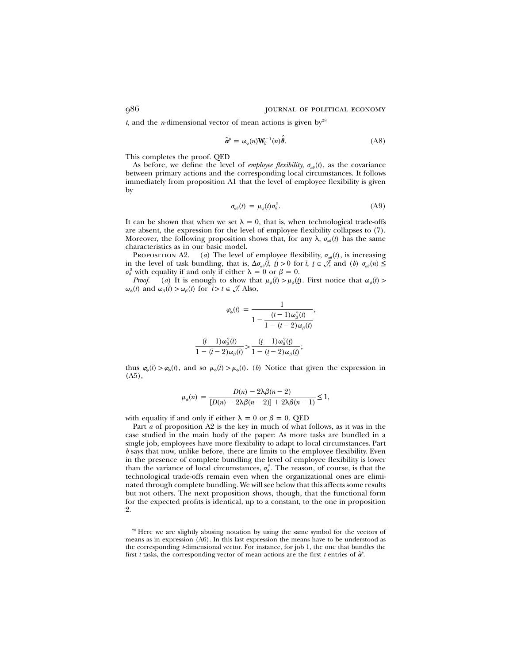$t$ , and the *n*-dimensional vector of mean actions is given by<sup>28</sup>

$$
\hat{\boldsymbol{a}}^{\rho} = \omega_{\phi}(n) \mathbf{W}_{\beta}^{-1}(n) \hat{\boldsymbol{\theta}}.
$$
 (A8)

This completes the proof. QED

As before, we define the level of *employee flexibility*,  $\sigma_{a\theta}(t)$ , as the covariance between primary actions and the corresponding local circumstances. It follows immediately from proposition A1 that the level of employee flexibility is given by

$$
\sigma_{a\theta}(t) = \mu_{\phi}(t)\sigma_{\theta}^2. \tag{A9}
$$

It can be shown that when we set  $\lambda = 0$ , that is, when technological trade-offs are absent, the expression for the level of employee flexibility collapses to (7). Moreover, the following proposition shows that, for any  $\lambda$ ,  $\sigma_{a\theta}(t)$  has the same characteristics as in our basic model.

PROPOSITION A2. (*a*) The level of employee flexibility,  $\sigma_{a\theta}(t)$ , is increasing in the level of task bundling, that is,  $\Delta \sigma_{a\theta}(\bar{t}, t) > 0$  for  $\bar{t}, t \in \mathcal{J}$ , and (*b*)  $\sigma_{a\theta}(n) \leq$  $\sigma_{\theta}^2$  with equality if and only if either  $\lambda = 0$  or  $\beta = 0$ .

*Proof.* (*a*) It is enough to show that  $\mu_{\phi}(\bar{t}) > \mu_{\phi}(t)$ . First notice that  $\omega_{\phi}(\bar{t}) >$  $\omega_{\phi}(t)$  and  $\omega_{\beta}(\bar{t}) > \omega_{\beta}(t)$  for  $\bar{t} > t \in \mathcal{J}$ . Also,

$$
\varphi_{\phi}(t) = \frac{1}{1 - \frac{(t-1)\omega_{\beta}^{2}(t)}{1 - (t-2)\omega_{\beta}(t)}},
$$

$$
\frac{(\overline{t}-1)\omega_{\beta}^{2}(\overline{t})}{1 - (\overline{t}-2)\omega_{\beta}(\overline{t})} > \frac{(t-1)\omega_{\beta}^{2}(t)}{1 - (t-2)\omega_{\beta}(t)};
$$

thus  $\varphi_{\phi}(\bar{t}) > \varphi_{\phi}(t)$ , and so  $\mu_{\phi}(\bar{t}) > \mu_{\phi}(t)$ . (*b*) Notice that given the expression in (A5),

$$
\mu_{\phi}(n) = \frac{D(n) - 2\lambda\beta(n-2)}{[D(n) - 2\lambda\beta(n-2)] + 2\lambda\beta(n-1)} \le 1,
$$

with equality if and only if either  $\lambda = 0$  or  $\beta = 0$ . QED

Part *a* of proposition A2 is the key in much of what follows, as it was in the case studied in the main body of the paper: As more tasks are bundled in a single job, employees have more flexibility to adapt to local circumstances. Part *b* says that now, unlike before, there are limits to the employee flexibility. Even in the presence of complete bundling the level of employee flexibility is lower than the variance of local circumstances,  $\sigma_{\theta}^2$ . The reason, of course, is that the technological trade-offs remain even when the organizational ones are eliminated through complete bundling. We will see below that this affects some results but not others. The next proposition shows, though, that the functional form for the expected profits is identical, up to a constant, to the one in proposition 2.

<sup>&</sup>lt;sup>28</sup> Here we are slightly abusing notation by using the same symbol for the vectors of means as in expression (A6). In this last expression the means have to be understood as the corresponding *t*-dimensional vector. For instance, for job 1, the one that bundles the first *t* tasks, the corresponding vector of mean actions are the first *t* entries of  $\hat{a}^{\rho}$ .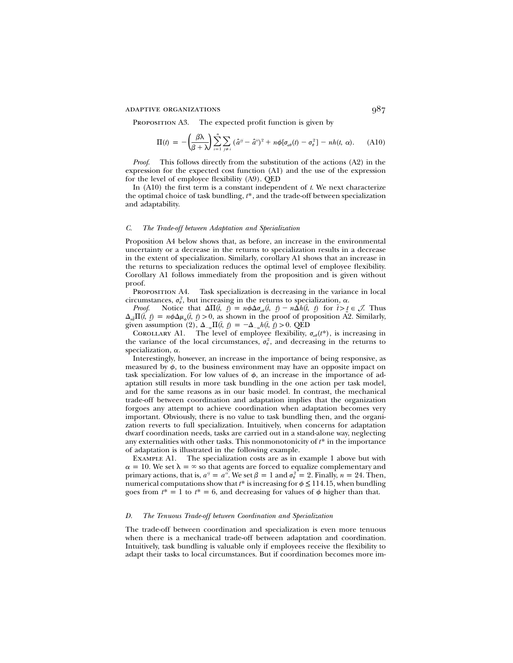PROPOSITION A3. The expected profit function is given by

$$
\Pi(t) = -\left(\frac{\beta\lambda}{\beta+\lambda}\right) \sum_{i=1}^n \sum_{j\neq i} (\hat{a}^{ij} - \hat{a}^{ij})^2 + n\phi[\sigma_{a\theta}(t) - \sigma_{\theta}^2] - nh(t, \alpha). \quad (A10)
$$

*Proof*. This follows directly from the substitution of the actions (A2) in the expression for the expected cost function (A1) and the use of the expression for the level of employee flexibility (A9). QED

In (A10) the first term is a constant independent of *t*. We next characterize the optimal choice of task bundling,  $t^*$ , and the trade-off between specialization and adaptability.

# *C. The Trade-off between Adaptation and Specialization*

Proposition A4 below shows that, as before, an increase in the environmental uncertainty or a decrease in the returns to specialization results in a decrease in the extent of specialization. Similarly, corollary A1 shows that an increase in the returns to specialization reduces the optimal level of employee flexibility. Corollary A1 follows immediately from the proposition and is given without proof.

Proposition A4. Task specialization is decreasing in the variance in local circumstances,  $\sigma_{\theta}^2$ , but increasing in the returns to specialization,  $\alpha$ .

*Proof.* Notice that  $\Delta \Pi(\bar{t}, t) = n\phi \Delta \sigma_{a\theta}(\bar{t}, t) - n\Delta h(\bar{t}, t)$  for  $\bar{t} > t \in \mathcal{J}$ . Thus  $\Delta_{\sigma \bar{\theta}} \Pi(\vec{t}, t) = n\phi \Delta \mu_{\phi}(\vec{t}, t) > 0$ , as shown in the proof of proposition A2. Similarly, given assumption (2),  $\Delta_{-\alpha} \Pi(\bar{t}, t) = -\Delta_{-\alpha} h(\bar{t}, t) > 0$ . QED

COROLLARY A1. The level of employee flexibility,  $\sigma_{ad}(t^*)$ , is increasing in the variance of the local circumstances,  $\sigma_{\theta}^2$ , and decreasing in the returns to specialization,  $\alpha$ .

Interestingly, however, an increase in the importance of being responsive, as measured by  $\phi$ , to the business environment may have an opposite impact on task specialization. For low values of  $\phi$ , an increase in the importance of adaptation still results in more task bundling in the one action per task model, and for the same reasons as in our basic model. In contrast, the mechanical trade-off between coordination and adaptation implies that the organization forgoes any attempt to achieve coordination when adaptation becomes very important. Obviously, there is no value to task bundling then, and the organization reverts to full specialization. Intuitively, when concerns for adaptation dwarf coordination needs, tasks are carried out in a stand-alone way, neglecting any externalities with other tasks. This nonmonotonicity of  $t^*$  in the importance of adaptation is illustrated in the following example.

Example A1. The specialization costs are as in example 1 above but with  $\alpha = 10$ . We set  $\lambda = \infty$  so that agents are forced to equalize complementary and primary actions, that is,  $a^{ij} = a^{ii}$ . We set  $\beta = 1$  and  $\sigma_a^2 = 2$ . Finally,  $n = 24$ . Then, numerical computations show that  $t^*$  is increasing for  $\phi \le 114.15$ , when bundling goes from  $t^* = 1$  to  $t^* = 6$ , and decreasing for values of  $\phi$  higher than that.

# *D. The Tenuous Trade-off between Coordination and Specialization*

The trade-off between coordination and specialization is even more tenuous when there is a mechanical trade-off between adaptation and coordination. Intuitively, task bundling is valuable only if employees receive the flexibility to adapt their tasks to local circumstances. But if coordination becomes more im-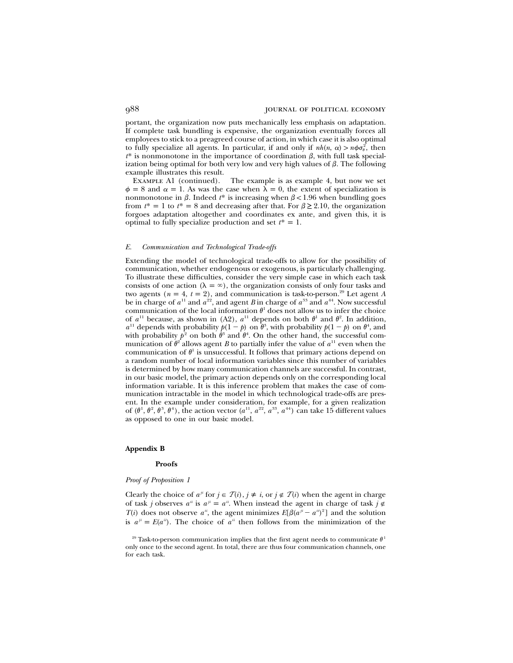portant, the organization now puts mechanically less emphasis on adaptation. If complete task bundling is expensive, the organization eventually forces all employees to stick to a preagreed course of action, in which case it is also optimal to fully specialize all agents. In particular, if and only if  $nh(n, \alpha) > n\phi\sigma_0^2$ , then  $t^*$  is nonmonotone in the importance of coordination  $\beta$ , with full task specialization being optimal for both very low and very high values of  $\beta$ . The following example illustrates this result.<br>Example A1 (continued).

The example is as example 4, but now we set  $\phi = 8$  and  $\alpha = 1$ . As was the case when  $\overline{\lambda} = 0$ , the extent of specialization is nonmonotone in  $\beta$ . Indeed  $t^*$  is increasing when  $\beta$  < 1.96 when bundling goes from  $t^* = 1$  to  $t^* = 8$  and decreasing after that. For  $\beta \geq 2.10$ , the organization forgoes adaptation altogether and coordinates ex ante, and given this, it is optimal to fully specialize production and set  $t^* = 1$ .

#### *E. Communication and Technological Trade-offs*

Extending the model of technological trade-offs to allow for the possibility of communication, whether endogenous or exogenous, is particularly challenging. To illustrate these difficulties, consider the very simple case in which each task consists of one action ( $\lambda = \infty$ ), the organization consists of only four tasks and two agents ( $n = 4$ ,  $t = 2$ ), and communication is task-to-person.<sup>29</sup> Let agent *A* be in charge of  $a^{11}$  and  $a^{22}$ , and agent *B* in charge of  $a^{33}$  and  $a^{44}$ . Now successful communication of the local information  $\theta^1$  does not allow us to infer the choice of  $a^{11}$  because, as shown in (A2),  $a^{11}$  depends on both  $\theta^1$  and  $\theta^2$ . In addition,  $a^{11}$  depends with probability  $p(1-p)$  on  $\theta^3$ , with probability  $p(1-p)$  on  $\theta^4$ , and with probability  $p^2$  on both  $\theta^3$  and  $\theta^4$ . On the other hand, the successful communication of  $\theta^2$  allows agent *B* to partially infer the value of  $a^{11}$  even when the communication of  $\theta^1$  is unsuccessful. It follows that primary actions depend on a random number of local information variables since this number of variables is determined by how many communication channels are successful. In contrast, in our basic model, the primary action depends only on the corresponding local information variable. It is this inference problem that makes the case of communication intractable in the model in which technological trade-offs are present. In the example under consideration, for example, for a given realization of  $(\theta^1, \theta^2, \theta^3, \theta^4)$ , the action vector  $(a^{11}, a^{22}, a^{33}, a^{44})$  can take 15 different values as opposed to one in our basic model.

#### **Appendix B**

### **Proofs**

#### *Proof of Proposition 1*

Clearly the choice of  $a^{ji}$  for  $j \in \mathcal{T}(i)$ ,  $j \neq i$ , or  $j \notin \mathcal{T}(i)$  when the agent in charge of task *j* observes  $a^{ii}$  is  $a^{ji} = a^{ii}$ . When instead the agent in charge of task  $j \notin$  $T(i)$  does not observe  $a^{ii}$ , the agent minimizes  $E[\beta(a^{ji} - a^{ii})^2]$  and the solution is  $a^{ji} = E(a^{ii})$ . The choice of  $a^{ii}$  then follows from the minimization of the

<sup>29</sup> Task-to-person communication implies that the first agent needs to communicate  $\theta$ <sup>1</sup> only once to the second agent. In total, there are thus four communication channels, one for each task.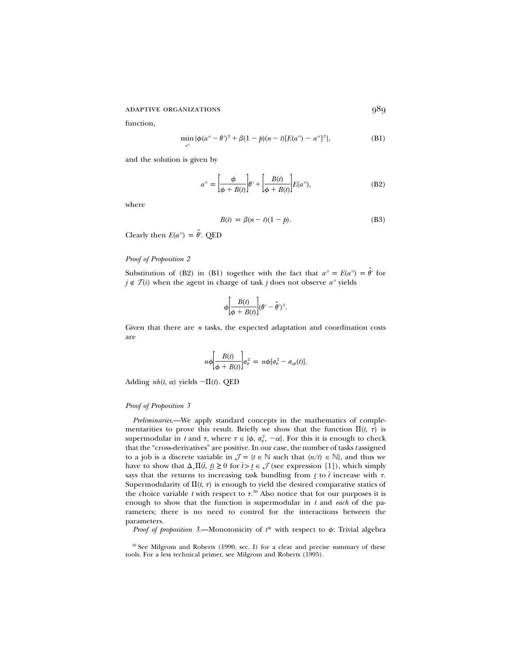# adaptive organizations 989

function,

$$
\min_{a^{ii}} {\{\phi(a^{ii} - \theta^i)^2 + \beta(1 - p)(n - t)[E(a^{ii}) - a^{ii}]^2\}},
$$
\n(B1)

and the solution is given by

$$
a^{ii} = \left[\frac{\phi}{\phi + B(t)}\right] \theta^i + \left[\frac{B(t)}{\phi + B(t)}\right] E(a^{ii}),\tag{B2}
$$

where

$$
B(t) = \beta(n - t)(1 - p). \tag{B3}
$$

Clearly then  $E(a^{ii}) = \hat{\theta}^i$ . QED

# *Proof of Proposition 2*

Substitution of (B2) in (B1) together with the fact that  $a^{ji} = E(a^{ii}) = \hat{\theta}^i$  for  $j \notin \mathcal{T}(i)$  when the agent in charge of task *j* does not observe  $a^{ii}$  yields

$$
\phi \bigg[ \frac{B(t)}{\phi + B(t)} \bigg] (\theta^i - \hat{\theta}^i)^2.
$$

Given that there are *n* tasks, the expected adaptation and coordination costs are

$$
n\phi\bigg[\frac{B(t)}{\phi+B(t)}\bigg]\sigma_{\theta}^2 = n\phi[\sigma_{\theta}^2 - \sigma_{a\theta}(t)].
$$

Adding  $nh(t, \alpha)$  yields  $-\Pi(t)$ . QED

#### *Proof of Proposition 3*

*Preliminaries*.—We apply standard concepts in the mathematics of complementarities to prove this result. Briefly we show that the function  $\Pi(t, \tau)$  is supermodular in *t* and  $\tau$ , where  $\tau \in {\phi, \sigma_\theta^2, -\alpha}$ . For this it is enough to check that the "cross-derivatives" are positive. In our case, the number of tasks*t* assigned to a job is a discrete variable in  $\mathcal{J} = \{t \in \mathbb{N} \text{ such that } (n/t) \in \mathbb{N}\}\$ , and thus we have to show that  $\Delta_{\tau} \Pi(\bar{t}, t) \ge 0$  for  $\bar{t} > t \in \mathcal{J}$  (see expression [1]), which simply says that the returns to increasing task bundling from  $t$  to  $\bar{t}$  increase with  $\tau$ . Supermodularity of  $\Pi(t, \tau)$  is enough to yield the desired comparative statics of the choice variable  $t$  with respect to  $\tau$ .<sup>30</sup> Also notice that for our purposes it is enough to show that the function is supermodular in *t* and *each* of the parameters; there is no need to control for the interactions between the parameters.

*Proof of proposition 3*.—Monotonicity of  $t^*$  with respect to  $\phi$ : Trivial algebra

<sup>30</sup> See Milgrom and Roberts (1990, sec. I) for a clear and precise summary of these tools. For a less technical primer, see Milgrom and Roberts (1995).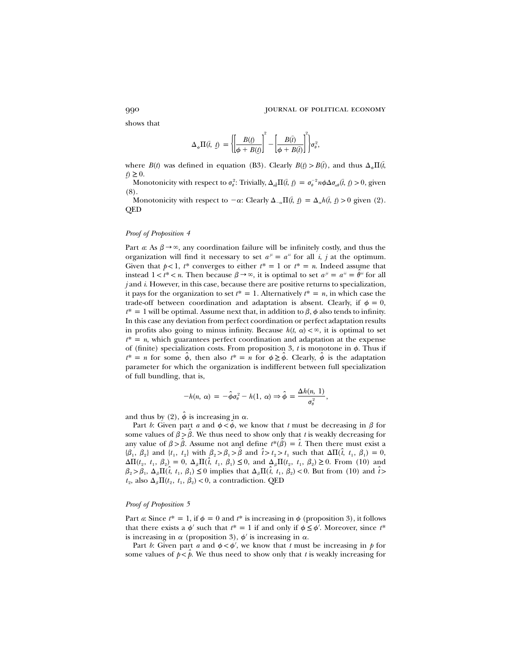shows that

$$
\Delta_{\phi} \Pi(\bar{t}, \underline{t}) = \left\{ \left| \frac{B(\underline{t})}{\phi + B(\underline{t})} \right|^2 - \left| \frac{B(\bar{t})}{\phi + B(\bar{t})} \right|^2 \right\} \sigma_{\theta}^2,
$$

where  $B(t)$  was defined in equation (B3). Clearly  $B(t) > B(\bar{t})$ , and thus  $\Delta_{\phi} \Pi(\bar{t})$ ,  $t \geq 0.$ 

Monotonicity with respect to  $\sigma_{\theta}^2$ : Trivially,  $\Delta_{\sigma_{\theta}^2} \Pi(\bar{t}, \underline{t}) = \sigma_{\theta}^{-2} n \phi \Delta \sigma_{a\theta}(\bar{t}, \underline{t}) > 0$ , given (8).

Monotonicity with respect to  $-\alpha$ : Clearly  $\Delta_{-\alpha} \Pi(\bar{t}, t) = \Delta_{\alpha} h(\bar{t}, t) > 0$  given (2). QED

#### *Proof of Proposition 4*

Part *a*: As  $\beta \rightarrow \infty$ , any coordination failure will be infinitely costly, and thus the organization will find it necessary to set  $a^{ji} = a^{ii}$  for all *i*, *j* at the optimum. Given that  $p < 1$ ,  $t^*$  converges to either  $t^* = 1$  or  $t^* = n$ . Indeed assume that instead  $1 < t^* < n$ . Then because  $\beta \rightarrow \infty$ , it is optimal to set  $a^{ji} = a^{ii} = \hat{\theta}^{ii}$  for all *j* and *i*. However, in this case, because there are positive returns to specialization, it pays for the organization to set  $t^* = 1$ . Alternatively  $t^* = n$ , in which case the trade-off between coordination and adaptation is absent. Clearly, if  $\phi = 0$ ,  $t^* = 1$  will be optimal. Assume next that, in addition to  $\beta$ ,  $\phi$  also tends to infinity. In this case any deviation from perfect coordination or perfect adaptation results in profits also going to minus infinity. Because  $h(t, \alpha) < \infty$ , it is optimal to set  $t^* = n$ , which guarantees perfect coordination and adaptation at the expense of (finite) specialization costs. From proposition 3,  $t$  is monotone in  $\phi$ . Thus if  $t^* = n$  for some  $\hat{\phi}$ , then also  $t^* = n$  for  $\phi \geq \hat{\phi}$ . Clearly,  $\hat{\phi}$  is the adaptation parameter for which the organization is indifferent between full specialization of full bundling, that is,

$$
-h(n, \alpha) = -\hat{\phi}\sigma_{\theta}^{2} - h(1, \alpha) \Rightarrow \hat{\phi} = \frac{\Delta h(n, 1)}{\sigma_{\theta}^{2}},
$$

and thus by (2),  $\hat{\phi}$  is increasing in  $\alpha$ .

Part *b*: Given part *a* and  $\phi < \phi$ , we know that *t* must be decreasing in  $\beta$  for some values of  $\beta > \beta$ . We thus need to show only that *t* is weakly decreasing for any value of  $\beta > \hat{\beta}$ . Assume not and define  $t^*(\tilde{\beta}) = \hat{t}$ . Then there must exist a  $\{\beta_1, \beta_2\}$  and  $\{t_1, t_2\}$  with  $\beta_2 > \beta_1 > \beta$  and  $\hat{t} > t_2 > t_1$  such that  $\Delta \Pi(\hat{t}, t_1, \beta_1) = 0$ ,  $\Delta \Pi(t_2, t_1, \beta_2) = 0$ ,  $\Delta_{\beta} \Pi(\hat{t}, t_1, \beta_1) \leq 0$ , and  $\Delta_{\beta} \Pi(t_2, t_1, \beta_2) \geq 0$ . From (10) and  $\beta_2 > \beta_1$ ,  $\Delta_{\beta} \Pi(\hat{t}, t_1, \beta_1) \leq 0$  implies that  $\Delta_{\beta} \Pi(\hat{t}, t_1, \beta_2) < 0$ . But from (10) and  $\hat{t} > 0$  $t_2$ , also  $\Delta_\beta \Pi(t_2, t_1, \beta_2) < 0$ , a contradiction. QED

#### *Proof of Proposition 5*

Part *a*: Since  $t^* = 1$ , if  $\phi = 0$  and  $t^*$  is increasing in  $\phi$  (proposition 3), it follows that there exists a  $\phi'$  such that  $t^* = 1$  if and only if  $\phi \leq \phi'$ . Moreover, since  $t^*$ is increasing in  $\alpha$  (proposition 3),  $\phi'$  is increasing in  $\alpha$ .

Part *b*: Given part *a* and  $\phi < \phi'$ , we know that *t* must be increasing in *p* for some values of  $p < \hat{p}$ . We thus need to show only that *t* is weakly increasing for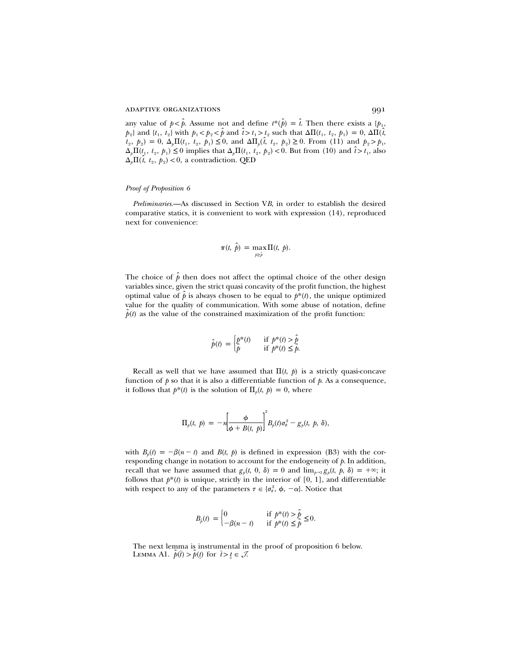any value of  $p < \hat{p}$ . Assume not and define  $t^*(\hat{p}) = \hat{t}$ . Then there exists a  $\{p_1, p_2, \ldots, p_k\}$  $p_2$  } and {*t*<sub>1</sub>, *t*<sub>2</sub>} with  $p_1 < p_2 < \hat{p}$  and  $\hat{t} > t_1 > t_2$  such that  $\Delta \Pi(t_1, t_2, p_1) = 0$ ,  $\Delta \Pi(\hat{t}, t_2, p_2)$  $t_2$ ,  $p_2$ ) = 0,  $\Delta_p \Pi(t_1, t_2, p_1) \le 0$ , and  $\Delta \Pi_p(\hat{t}, t_2, p_2) \ge 0$ . From (11) and  $p_2 > p_1$ ,  $\Delta_p \Pi(t_1, t_2, p_1) \leq 0$  implies that  $\Delta_p \Pi(t_1, t_2, p_2) < 0$ . But from (10) and  $\hat{t} > t_1$ , also  $\Delta_p \Pi(\hat{t}, t_2, p_2) < 0$ , a contradiction. QED

# *Proof of Proposition 6*

*Preliminaries*.—As discussed in Section V*B*, in order to establish the desired comparative statics, it is convenient to work with expression (14), reproduced next for convenience:

$$
\pi(t, \hat{p}) = \max_{p \geq \hat{p}} \Pi(t, p).
$$

The choice of  $\hat{p}$  then does not affect the optimal choice of the other design variables since, given the strict quasi concavity of the profit function, the highest optimal value of  $\hat{p}$  is always chosen to be equal to  $p^*(t)$ , the unique optimized value for the quality of communication. With some abuse of notation, define  $\tilde{p}(t)$  as the value of the constrained maximization of the profit function:

$$
\tilde{p}(t) = \begin{cases} p^*(t) & \text{if } p^*(t) > \hat{p} \\ \hat{p} & \text{if } p^*(t) \leq \hat{p}. \end{cases}
$$

Recall as well that we have assumed that  $\Pi(t, p)$  is a strictly quasi-concave function of  $p$  so that it is also a differentiable function of  $p$ . As a consequence, it follows that  $p^*(t)$  is the solution of  $\Pi_p(t, p) = 0$ , where

$$
\Pi_p(t, p) = -n \left[ \frac{\phi}{\phi + B(t, p)} \right]^2 B_p(t) \sigma_{\theta}^2 - g_p(t, p, \delta),
$$

with  $B_p(t) = -\beta(n-t)$  and  $B(t, p)$  is defined in expression (B3) with the corresponding change in notation to account for the endogeneity of *p*. In addition, recall that we have assumed that  $g_p(t, 0, \delta) = 0$  and  $\lim_{p\to 1} g_p(t, p, \delta) = +\infty$ ; it follows that  $p^*(t)$  is unique, strictly in the interior of [0, 1], and differentiable with respect to any of the parameters  $\tau \in {\{\sigma_\theta^2, \phi, -\alpha\}}$ . Notice that

$$
B_{\hat{p}}(t) = \begin{cases} 0 & \text{if } p^*(t) > \hat{p} \\ -\beta(n-t) & \text{if } p^*(t) \le \hat{p} \end{cases} \le 0.
$$

The next lemma is instrumental in the proof of proposition 6 below. LEMMA A1.  $\tilde{p}(\bar{t}) > \tilde{p}(t)$  for  $\bar{t} > t \in \mathcal{J}$ .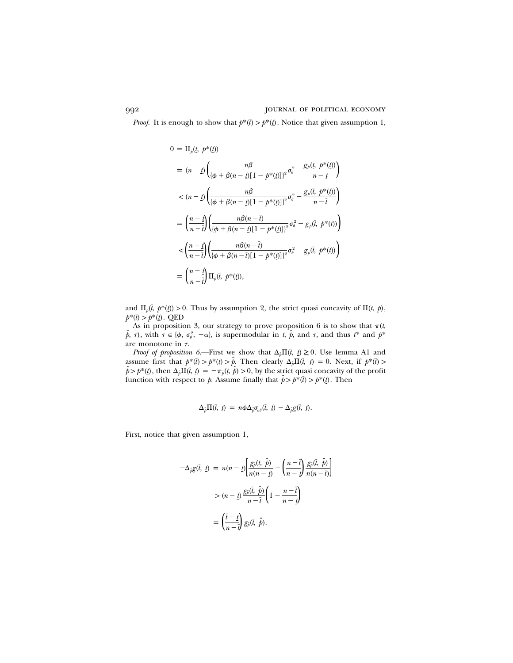### 992 journal of political economy

*Proof.* It is enough to show that  $p^*(\bar{t}) > p^*(t)$ . Notice that given assumption 1,

$$
0 = \Pi_{\rho}(t, p^{*}(t))
$$
  
\n
$$
= (n - t) \left( \frac{n\beta}{\{\phi + \beta(n - t)[1 - p^{*}(t)]\}^{2}} \sigma_{\theta}^{2} - \frac{g_{\rho}(t, p^{*}(t))}{n - t} \right)
$$
  
\n
$$
< (n - t) \left( \frac{n\beta}{\{\phi + \beta(n - t)[1 - p^{*}(t)]\}^{2}} \sigma_{\theta}^{2} - \frac{g_{\rho}(\bar{t}, p^{*}(t))}{n - \bar{t}} \right)
$$
  
\n
$$
= \left( \frac{n - t}{n - \bar{t}} \right) \left( \frac{n\beta(n - \bar{t})}{\{\phi + \beta(n - t)[1 - p^{*}(t)]\}^{2}} \sigma_{\theta}^{2} - g_{\rho}(\bar{t}, p^{*}(t)) \right)
$$
  
\n
$$
< \left( \frac{n - t}{n - \bar{t}} \right) \left( \frac{n\beta(n - \bar{t})}{\{\phi + \beta(n - \bar{t})[1 - p^{*}(t)]\}^{2}} \sigma_{\theta}^{2} - g_{\rho}(\bar{t}, p^{*}(t)) \right)
$$
  
\n
$$
= \left( \frac{n - t}{n - \bar{t}} \right) \Pi_{\rho}(\bar{t}, p^{*}(t)),
$$

and  $\Pi_p(\bar{t}, p^*(t)) > 0$ . Thus by assumption 2, the strict quasi concavity of  $\Pi(t, p)$ ,  $p^*(t) > p^*(t)$ . QED

As in proposition 3, our strategy to prove proposition 6 is to show that  $\pi(t,$  $\hat{p}$ ,  $\tau$ ), with  $\tau \in {\phi, \sigma_\theta^2, -\alpha}$ , is supermodular in *t*,  $\hat{p}$ , and  $\tau$ , and thus *t*<sup>\*</sup> and  $p^*$ are monotone in  $\tau$ .

*Proof of proposition 6*.—First we show that  $\Delta_{\hat{p}}\Pi(\bar{t}, t) \geq 0$ . Use lemma A1 and assume first that  $p^*(\bar{t}) > p^*(t) > \hat{p}$ . Then clearly  $\Delta_{\hat{p}}\Pi(\bar{t}, t) = 0$ . Next, if  $p^*(\bar{t}) >$  $\hat{p} > p^*(t)$ , then  $\Delta_{\hat{p}} \hat{\Pi}(\bar{t}, t) = -\pi_{\hat{p}}(t, \hat{p}) > 0$ , by the strict quasi concavity of the profit function with respect to *p*. Assume finally that  $\hat{p} > p^*(\bar{t}) > p^*(t)$ . Then

$$
\Delta_{\hat{\rho}} \Pi(\bar{t}, t) = n \phi \Delta_{\hat{\rho}} \sigma_{a\theta}(\bar{t}, t) - \Delta_{\hat{\rho}} g(\bar{t}, t).
$$

First, notice that given assumption 1,

$$
-\Delta_{\hat{\beta}}g(\bar{t}, \underline{t}) = n(n-\underline{t}) \left[ \frac{g_{\hat{\beta}}(\underline{t}, \hat{p})}{n(n-\underline{t})} - \left( \frac{n-\bar{t}}{n-\underline{t}} \right) \frac{g_{\hat{\beta}}(\bar{t}, \hat{p})}{n(n-\bar{t})} \right]
$$

$$
> (n-\underline{t}) \frac{g_{\hat{\beta}}(\bar{t}, \hat{p})}{n-\bar{t}} \left( 1 - \frac{n-\bar{t}}{n-\underline{t}} \right)
$$

$$
= \left( \frac{\bar{t}-\underline{t}}{n-\bar{t}} \right) g_{\hat{\beta}}(\bar{t}, \hat{p}).
$$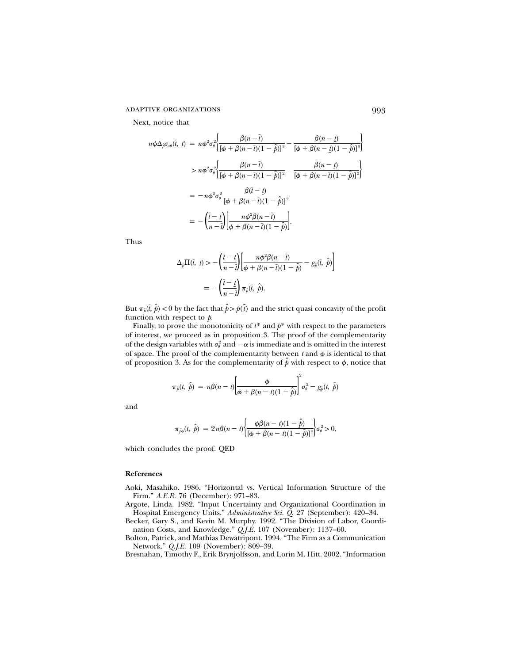# adaptive organizations 993

Next, notice that

$$
n\phi\Delta_{\hat{\rho}}\sigma_{a\theta}(\bar{t},\underline{t}) = n\phi^2\sigma_{\theta}^2 \left\{ \frac{\beta(n-\bar{t})}{\left[\phi + \beta(n-\bar{t})(1-\hat{p})\right]^2} - \frac{\beta(n-\underline{t})}{\left[\phi + \beta(n-\underline{t})(1-\hat{p})\right]^2} \right\}
$$

$$
> n\phi^2\sigma_{\theta}^2 \left\{ \frac{\beta(n-\bar{t})}{\left[\phi + \beta(n-\bar{t})(1-\hat{p})\right]^2} - \frac{\beta(n-\underline{t})}{\left[\phi + \beta(n-\bar{t})(1-\hat{p})\right]^2} \right\}
$$

$$
= -n\phi^2\sigma_{\theta}^2 \frac{\beta(\bar{t}-\underline{t})}{\left[\phi + \beta(n-\bar{t})(1-\hat{p})\right]^2}
$$

$$
= -\left(\frac{\bar{t}-\underline{t}}{n-\bar{t}}\right) \left[ \frac{n\phi^2\beta(n-\bar{t})}{\phi + \beta(n-\bar{t})(1-\hat{p})} \right].
$$

Thus

$$
\Delta_{\hat{p}} \Pi(\bar{t}, \underline{t}) > -\left(\frac{\bar{t} - \underline{t}}{n - \bar{t}}\right) \left[\frac{n \phi^2 \beta (n - \bar{t})}{\phi + \beta (n - \bar{t})(1 - \hat{p})} - g_{\hat{p}}(\bar{t}, \hat{p})\right]
$$

$$
= -\left(\frac{\bar{t} - \underline{t}}{n - \bar{t}}\right) \pi_{\hat{p}}(\bar{t}, \hat{p}).
$$

But  $\pi_{\hat{\rho}}(\bar{t}, \hat{p}) < 0$  by the fact that  $\hat{p} > p(\tilde{t})$  and the strict quasi concavity of the profit function with respect to *p*.

Finally, to prove the monotonicity of  $t^*$  and  $p^*$  with respect to the parameters of interest, we proceed as in proposition 3. The proof of the complementarity of the design variables with  $\sigma_{\theta}^2$  and  $-\alpha$  is immediate and is omitted in the interest of space. The proof of the complementarity between  $t$  and  $\phi$  is identical to that of proposition 3. As for the complementarity of  $\hat{p}$  with respect to  $\phi$ , notice that

$$
\pi_{\hat{p}}(t, \hat{p}) = n\beta(n-t) \left[ \frac{\phi}{\phi + \beta(n-t)(1-\hat{p})} \right]^2 \sigma_{\theta}^2 - g_{\hat{p}}(t, \hat{p})
$$

and

$$
\pi_{\hat{p}\phi}(t, \ \hat{p}) = 2n\beta(n-t) \left\{ \frac{\phi\beta(n-t)(1-\hat{p})}{[\phi+\beta(n-t)(1-\hat{p})]^2} \right\} \sigma_{\theta}^2 > 0,
$$

which concludes the proof. QED

### **References**

Aoki, Masahiko. 1986. "Horizontal vs. Vertical Information Structure of the Firm." *A.E.R.* 76 (December): 971–83.

Argote, Linda. 1982. "Input Uncertainty and Organizational Coordination in Hospital Emergency Units." *Administrative Sci. Q.* 27 (September): 420–34.

Becker, Gary S., and Kevin M. Murphy. 1992. "The Division of Labor, Coordination Costs, and Knowledge." *Q.J.E.* 107 (November): 1137–60.

Bolton, Patrick, and Mathias Dewatripont. 1994. "The Firm as a Communication Network." *Q.J.E.* 109 (November): 809–39.

Bresnahan, Timothy F., Erik Brynjolfsson, and Lorin M. Hitt. 2002. "Information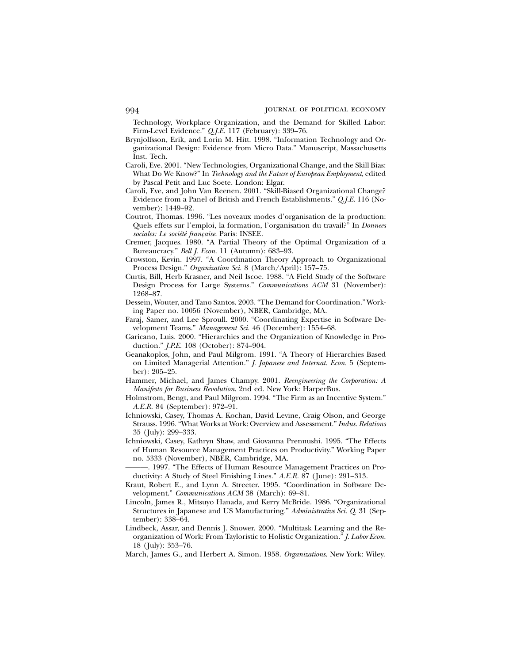Technology, Workplace Organization, and the Demand for Skilled Labor: Firm-Level Evidence." *Q.J.E.* 117 (February): 339–76.

- Brynjolfsson, Erik, and Lorin M. Hitt. 1998. "Information Technology and Organizational Design: Evidence from Micro Data." Manuscript, Massachusetts Inst. Tech.
- Caroli, Eve. 2001. "New Technologies, Organizational Change, and the Skill Bias: What Do We Know?" In *Technology and the Future of European Employment*, edited by Pascal Petit and Luc Soete. London: Elgar.
- Caroli, Eve, and John Van Reenen. 2001. "Skill-Biased Organizational Change? Evidence from a Panel of British and French Establishments." *Q.J.E.* 116 (November): 1449–92.
- Coutrot, Thomas. 1996. "Les noveaux modes d'organisation de la production: Quels effets sur l'emploi, la formation, l'organisation du travail?" In *Donnees* sociales: Le société française. Paris: INSEE.
- Cremer, Jacques. 1980. "A Partial Theory of the Optimal Organization of a Bureaucracy." *Bell J. Econ.* 11 (Autumn): 683–93.
- Crowston, Kevin. 1997. "A Coordination Theory Approach to Organizational Process Design." *Organization Sci.* 8 (March/April): 157–75.
- Curtis, Bill, Herb Krasner, and Neil Iscoe. 1988. "A Field Study of the Software Design Process for Large Systems." *Communications ACM* 31 (November): 1268–87.
- Dessein, Wouter, and Tano Santos. 2003. "The Demand for Coordination." Working Paper no. 10056 (November), NBER, Cambridge, MA.
- Faraj, Samer, and Lee Sproull. 2000. "Coordinating Expertise in Software Development Teams." *Management Sci.* 46 (December): 1554–68.
- Garicano, Luis. 2000. "Hierarchies and the Organization of Knowledge in Production." *J.P.E.* 108 (October): 874–904.
- Geanakoplos, John, and Paul Milgrom. 1991. "A Theory of Hierarchies Based on Limited Managerial Attention." *J. Japanese and Internat. Econ.* 5 (September): 205–25.
- Hammer, Michael, and James Champy. 2001. *Reengineering the Corporation: A Manifesto for Business Revolution*. 2nd ed. New York: HarperBus.
- Holmstrom, Bengt, and Paul Milgrom. 1994. "The Firm as an Incentive System." *A.E.R.* 84 (September): 972–91.
- Ichniowski, Casey, Thomas A. Kochan, David Levine, Craig Olson, and George Strauss. 1996. "What Works at Work: Overview and Assessment." *Indus. Relations* 35 (July): 299–333.
- Ichniowski, Casey, Kathryn Shaw, and Giovanna Prennushi. 1995. "The Effects of Human Resource Management Practices on Productivity." Working Paper no. 5333 (November), NBER, Cambridge, MA.
- -. 1997. "The Effects of Human Resource Management Practices on Productivity: A Study of Steel Finishing Lines." *A.E.R.* 87 (June): 291–313.
- Kraut, Robert E., and Lynn A. Streeter. 1995. "Coordination in Software Development." *Communications ACM* 38 (March): 69–81.
- Lincoln, James R., Mitsuyo Hanada, and Kerry McBride. 1986. "Organizational Structures in Japanese and US Manufacturing." *Administrative Sci. Q.* 31 (September): 338–64.
- Lindbeck, Assar, and Dennis J. Snower. 2000. "Multitask Learning and the Reorganization of Work: From Tayloristic to Holistic Organization." *J. Labor Econ.* 18 (July): 353–76.
- March, James G., and Herbert A. Simon. 1958. *Organizations*. New York: Wiley.